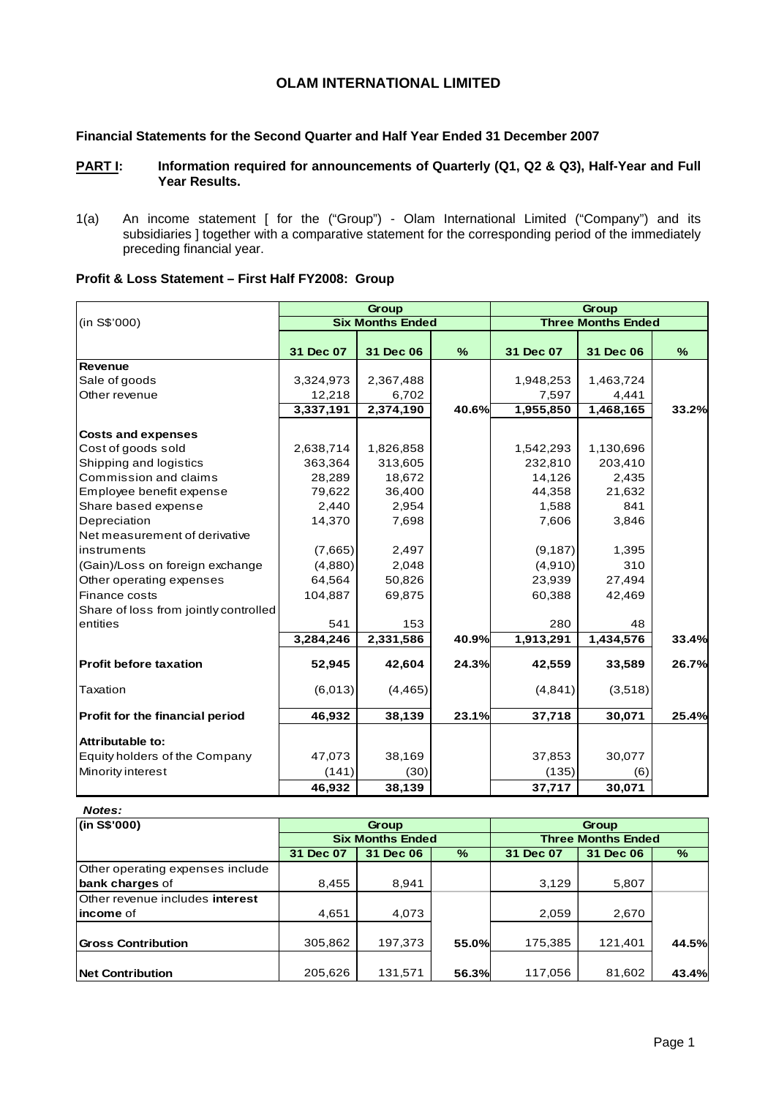# **OLAM INTERNATIONAL LIMITED**

## **Financial Statements for the Second Quarter and Half Year Ended 31 December 2007**

## PART I: Information required for announcements of Quarterly (Q1, Q2 & Q3), Half-Year and Full **Year Results.**

1(a) An income statement [ for the ("Group") - Olam International Limited ("Company") and its subsidiaries ] together with a comparative statement for the corresponding period of the immediately preceding financial year.

| Profit & Loss Statement - First Half FY2008: Group |  |  |
|----------------------------------------------------|--|--|
|----------------------------------------------------|--|--|

|                                       |           | Group                   |              | Group     |                           |       |  |
|---------------------------------------|-----------|-------------------------|--------------|-----------|---------------------------|-------|--|
| (in S\$'000)                          |           | <b>Six Months Ended</b> |              |           | <b>Three Months Ended</b> |       |  |
|                                       | 31 Dec 07 | 31 Dec 06               | $\%$         | 31 Dec 07 | 31 Dec 06                 | $\%$  |  |
| <b>Revenue</b>                        |           |                         |              |           |                           |       |  |
| Sale of goods                         | 3,324,973 | 2,367,488               |              | 1,948,253 | 1,463,724                 |       |  |
| Other revenue                         | 12,218    | 6,702                   |              | 7,597     | 4,441                     |       |  |
|                                       | 3,337,191 | 2,374,190               | <b>40.6%</b> | 1,955,850 | 1,468,165                 | 33.2% |  |
| <b>Costs and expenses</b>             |           |                         |              |           |                           |       |  |
| Cost of goods sold                    | 2,638,714 | 1,826,858               |              | 1,542,293 | 1,130,696                 |       |  |
| Shipping and logistics                | 363,364   | 313,605                 |              | 232,810   | 203,410                   |       |  |
| Commission and claims                 | 28,289    | 18,672                  |              | 14,126    | 2,435                     |       |  |
| Employee benefit expense              | 79,622    | 36,400                  |              | 44,358    | 21,632                    |       |  |
| Share based expense                   | 2,440     | 2,954                   |              | 1,588     | 841                       |       |  |
| Depreciation                          | 14,370    | 7,698                   |              | 7,606     | 3,846                     |       |  |
| Net measurement of derivative         |           |                         |              |           |                           |       |  |
| instruments                           | (7,665)   | 2,497                   |              | (9, 187)  | 1,395                     |       |  |
| (Gain)/Loss on foreign exchange       | (4,880)   | 2,048                   |              | (4,910)   | 310                       |       |  |
| Other operating expenses              | 64,564    | 50,826                  |              | 23,939    | 27,494                    |       |  |
| Finance costs                         | 104,887   | 69,875                  |              | 60,388    | 42,469                    |       |  |
| Share of loss from jointly controlled |           |                         |              |           |                           |       |  |
| entities                              | 541       | 153                     |              | 280       | 48                        |       |  |
|                                       | 3,284,246 | 2,331,586               | 40.9%        | 1,913,291 | 1,434,576                 | 33.4% |  |
| <b>Profit before taxation</b>         | 52,945    | 42,604                  | 24.3%        | 42,559    | 33,589                    | 26.7% |  |
| Taxation                              | (6,013)   | (4, 465)                |              | (4, 841)  | (3,518)                   |       |  |
| Profit for the financial period       | 46,932    | 38,139                  | 23.1%        | 37,718    | 30,071                    | 25.4% |  |
| Attributable to:                      |           |                         |              |           |                           |       |  |
| Equity holders of the Company         | 47,073    | 38,169                  |              | 37,853    | 30,077                    |       |  |
| Minority interest                     | (141)     | (30)                    |              | (135)     | (6)                       |       |  |
|                                       | 46,932    | 38,139                  |              | 37,717    | 30,071                    |       |  |

#### *Notes:*

| (in S\$'000)                     |           | <b>Group</b>            |       | <b>Group</b>              |           |       |  |  |
|----------------------------------|-----------|-------------------------|-------|---------------------------|-----------|-------|--|--|
|                                  |           | <b>Six Months Ended</b> |       | <b>Three Months Ended</b> |           |       |  |  |
|                                  | 31 Dec 07 | 31 Dec 06               | $\%$  | 31 Dec 07                 | 31 Dec 06 | %     |  |  |
| Other operating expenses include |           |                         |       |                           |           |       |  |  |
| bank charges of                  | 8,455     | 8.941                   |       | 3,129                     | 5,807     |       |  |  |
| Other revenue includes interest  |           |                         |       |                           |           |       |  |  |
| lincome of                       | 4,651     | 4,073                   |       | 2,059                     | 2,670     |       |  |  |
|                                  |           |                         |       |                           |           |       |  |  |
| <b>Gross Contribution</b>        | 305,862   | 197,373                 | 55.0% | 175,385                   | 121,401   | 44.5% |  |  |
|                                  |           |                         |       |                           |           |       |  |  |
| Net Contribution                 | 205,626   | 131,571                 | 56.3% | 117,056                   | 81,602    | 43.4% |  |  |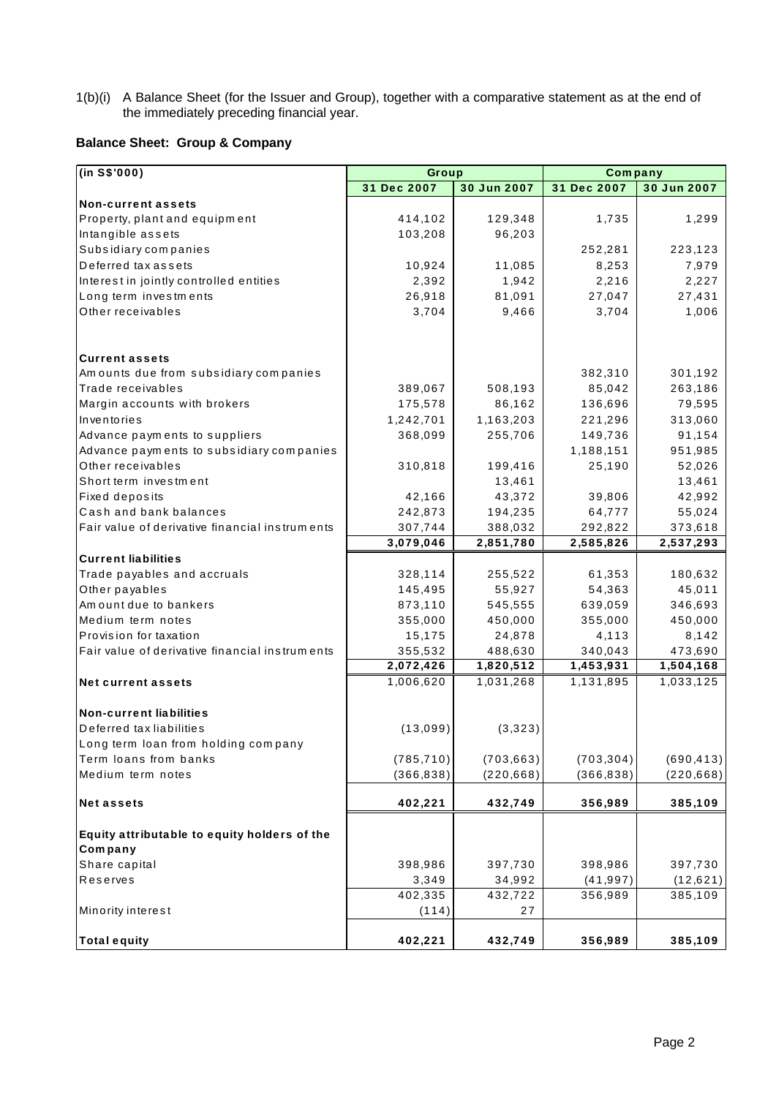1(b)(i) A Balance Sheet (for the Issuer and Group), together with a comparative statement as at the end of the immediately preceding financial year.

## **Balance Sheet: Group & Company**

| (in S\$'000)                                                   | Group       |             | Company     |             |
|----------------------------------------------------------------|-------------|-------------|-------------|-------------|
|                                                                | 31 Dec 2007 | 30 Jun 2007 | 31 Dec 2007 | 30 Jun 2007 |
| <b>Non-current assets</b>                                      |             |             |             |             |
| Property, plant and equipment                                  | 414,102     | 129,348     | 1,735       | 1,299       |
| Intangible assets                                              | 103,208     | 96,203      |             |             |
| Subsidiary companies                                           |             |             | 252,281     | 223,123     |
| Deferred tax assets                                            | 10,924      | 11,085      | 8,253       | 7,979       |
| Interest in jointly controlled entities                        | 2,392       | 1,942       | 2,216       | 2,227       |
| Long term investments                                          | 26,918      | 81,091      | 27,047      | 27,431      |
| Other receivables                                              | 3,704       | 9,466       | 3,704       | 1,006       |
|                                                                |             |             |             |             |
|                                                                |             |             |             |             |
| <b>Current assets</b>                                          |             |             |             |             |
| Amounts due from subsidiary companies                          |             |             | 382,310     | 301,192     |
| Trade receivables                                              | 389,067     | 508,193     | 85,042      | 263,186     |
| Margin accounts with brokers                                   | 175,578     | 86,162      | 136,696     | 79,595      |
| Inventories                                                    | 1,242,701   | 1,163,203   | 221,296     | 313,060     |
| Advance payments to suppliers                                  | 368,099     | 255,706     | 149,736     | 91,154      |
| Advance payments to subsidiary companies                       |             |             | 1,188,151   | 951,985     |
| Other receivables                                              | 310,818     | 199,416     | 25,190      | 52,026      |
| Short term investment                                          |             | 13,461      |             | 13,461      |
| Fixed deposits                                                 | 42,166      | 43,372      | 39,806      | 42,992      |
| Cash and bank balances                                         | 242,873     | 194,235     | 64,777      | 55,024      |
| Fair value of derivative financial instruments                 | 307,744     | 388,032     | 292,822     | 373,618     |
|                                                                | 3,079,046   | 2,851,780   | 2,585,826   | 2,537,293   |
| <b>Current liabilities</b>                                     |             |             |             |             |
| Trade payables and accruals                                    | 328,114     | 255,522     | 61,353      | 180,632     |
| Other payables                                                 | 145,495     | 55,927      | 54,363      | 45,011      |
| Amount due to bankers                                          | 873,110     | 545,555     | 639,059     | 346,693     |
| Medium term notes                                              | 355,000     | 450,000     | 355,000     | 450,000     |
| Provision for taxation                                         | 15,175      | 24,878      | 4,113       | 8,142       |
| Fair value of derivative financial instruments                 | 355,532     | 488,630     | 340,043     | 473,690     |
|                                                                | 2,072,426   | 1,820,512   | 1,453,931   | 1,504,168   |
| <b>Net current assets</b>                                      | 1,006,620   | 1,031,268   | 1,131,895   | 1,033,125   |
| <b>Non-current liabilities</b>                                 |             |             |             |             |
| Deferred tax liabilities                                       | (13,099)    | (3,323)     |             |             |
| Long term loan from holding company                            |             |             |             |             |
| Term loans from banks                                          | (785, 710)  | (703, 663)  | (703, 304)  | (690, 413)  |
| Medium term notes                                              | (366, 838)  | (220, 668)  | (366, 838)  | (220, 668)  |
| <b>Net assets</b>                                              | 402,221     | 432,749     | 356,989     | 385,109     |
|                                                                |             |             |             |             |
| Equity attributable to equity holders of the<br><b>Company</b> |             |             |             |             |
|                                                                |             |             |             |             |
| Share capital                                                  | 398,986     | 397,730     | 398,986     | 397,730     |
| Reserves                                                       | 3,349       | 34,992      | (41, 997)   | (12, 621)   |
|                                                                | 402,335     | 432,722     | 356,989     | 385,109     |
| Minority interest                                              | (114)       | 27          |             |             |
| <b>Total equity</b>                                            | 402,221     | 432,749     | 356,989     | 385,109     |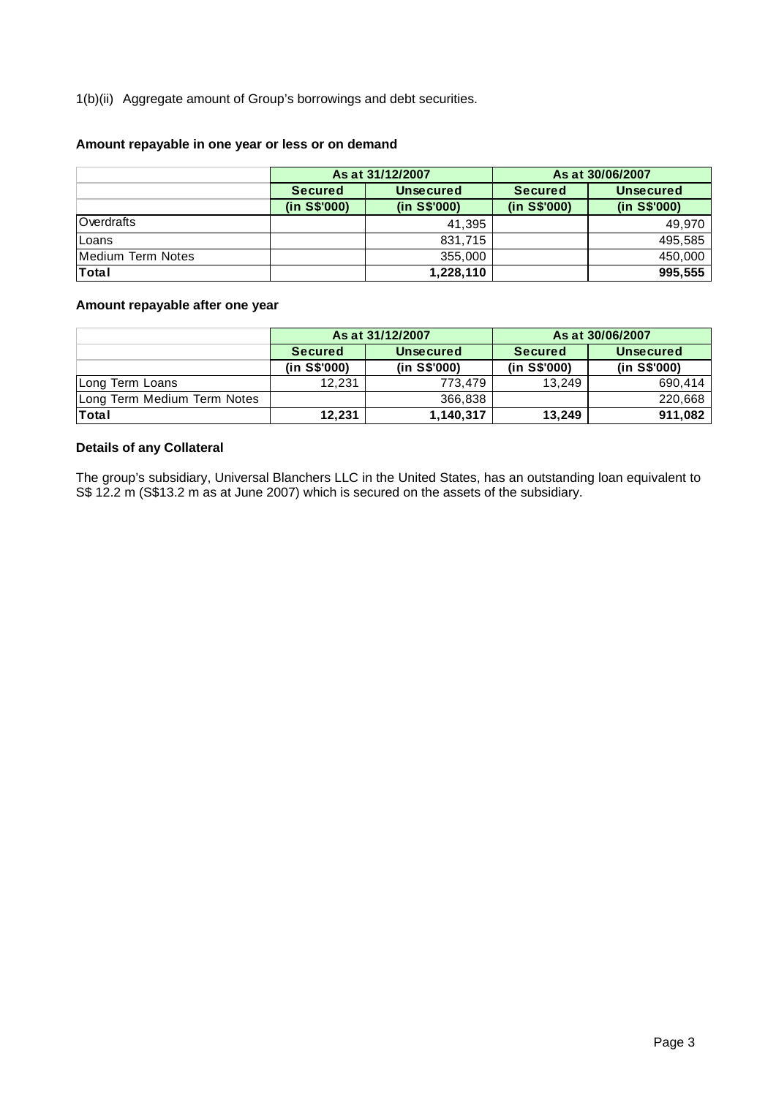1(b)(ii) Aggregate amount of Group's borrowings and debt securities.

## **Amount repayable in one year or less or on demand**

|                   |                | As at 31/12/2007 | As at 30/06/2007 |                  |  |
|-------------------|----------------|------------------|------------------|------------------|--|
|                   | <b>Secured</b> | <b>Unsecured</b> | <b>Secured</b>   | <b>Unsecured</b> |  |
|                   | (in S\$'000)   | (in S\$'000)     | (in S\$'000)     | (in S\$'000)     |  |
| Overdrafts        |                | 41.395           |                  | 49,970           |  |
| Loans             |                | 831,715          |                  | 495,585          |  |
| Medium Term Notes |                | 355,000          |                  | 450,000          |  |
| <b>Total</b>      |                | 1,228,110        |                  | 995,555          |  |

## **Amount repayable after one year**

|                             |                | As at 31/12/2007 | As at 30/06/2007 |                  |  |
|-----------------------------|----------------|------------------|------------------|------------------|--|
|                             | <b>Secured</b> | Unsecured        | <b>Secured</b>   | <b>Unsecured</b> |  |
|                             | (in S\$'000)   | (in S\$'000)     | (in S\$'000)     | (in S\$'000)     |  |
| Long Term Loans             | 12.231         | 773.479          | 13.249           | 690.414          |  |
| Long Term Medium Term Notes |                | 366.838          |                  | 220,668          |  |
| <b>Total</b>                | 12.231         | 1,140,317        | 13.249           | 911,082          |  |

## **Details of any Collateral**

The group's subsidiary, Universal Blanchers LLC in the United States, has an outstanding loan equivalent to S\$ 12.2 m (S\$13.2 m as at June 2007) which is secured on the assets of the subsidiary.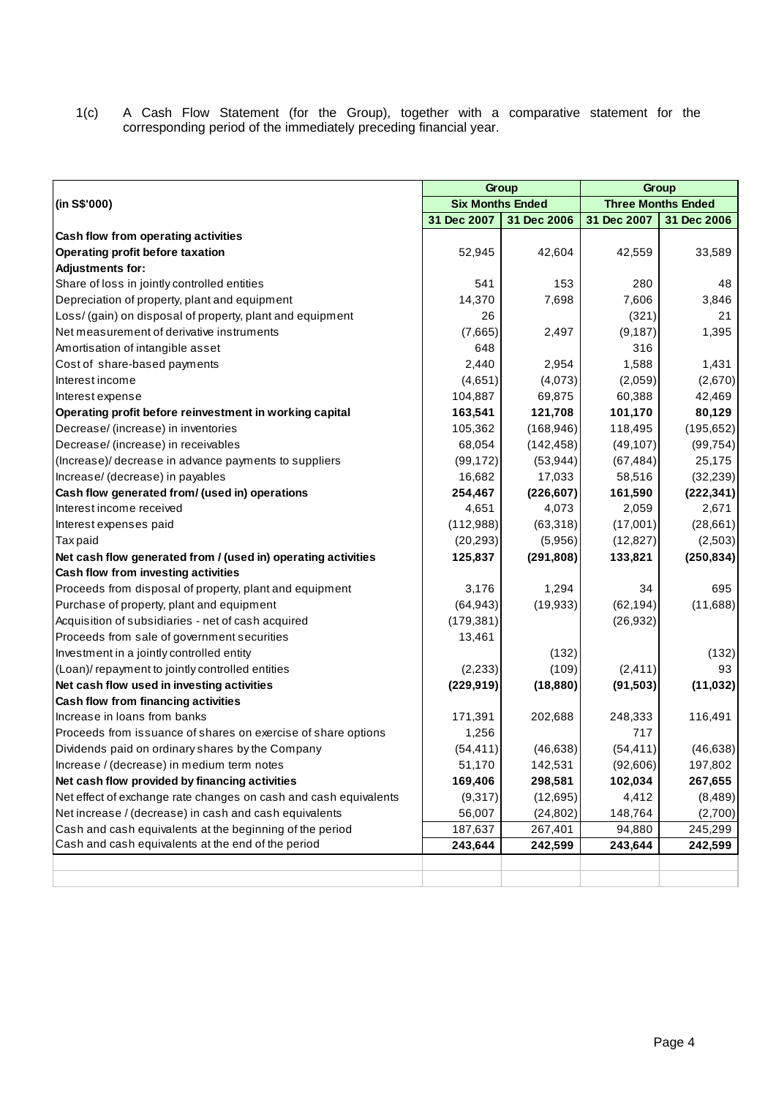1(c) A Cash Flow Statement (for the Group), together with a comparative statement for the corresponding period of the immediately preceding financial year.

|                                                                  |                         | Group       | Group       |                           |  |
|------------------------------------------------------------------|-------------------------|-------------|-------------|---------------------------|--|
| (in S\$'000)                                                     | <b>Six Months Ended</b> |             |             | <b>Three Months Ended</b> |  |
|                                                                  | 31 Dec 2007             | 31 Dec 2006 | 31 Dec 2007 | 31 Dec 2006               |  |
| Cash flow from operating activities                              |                         |             |             |                           |  |
| Operating profit before taxation                                 | 52,945                  | 42,604      | 42,559      | 33,589                    |  |
| <b>Adjustments for:</b>                                          |                         |             |             |                           |  |
| Share of loss in jointly controlled entities                     | 541                     | 153         | 280         | 48                        |  |
| Depreciation of property, plant and equipment                    | 14,370                  | 7,698       | 7,606       | 3,846                     |  |
| Loss/ (gain) on disposal of property, plant and equipment        | 26                      |             | (321)       | 21                        |  |
| Net measurement of derivative instruments                        | (7,665)                 | 2,497       | (9, 187)    | 1,395                     |  |
| Amortisation of intangible asset                                 | 648                     |             | 316         |                           |  |
| Cost of share-based payments                                     | 2,440                   | 2,954       | 1,588       | 1,431                     |  |
| Interest income                                                  | (4,651)                 | (4,073)     | (2,059)     | (2,670)                   |  |
| Interest expense                                                 | 104,887                 | 69,875      | 60,388      | 42,469                    |  |
| Operating profit before reinvestment in working capital          | 163,541                 | 121,708     | 101,170     | 80,129                    |  |
| Decrease/ (increase) in inventories                              | 105,362                 | (168, 946)  | 118,495     | (195, 652)                |  |
| Decrease/ (increase) in receivables                              | 68,054                  | (142, 458)  | (49, 107)   | (99, 754)                 |  |
| (Increase)/ decrease in advance payments to suppliers            | (99, 172)               | (53, 944)   | (67, 484)   | 25,175                    |  |
| Increase/ (decrease) in payables                                 | 16,682                  | 17,033      | 58,516      | (32, 239)                 |  |
| Cash flow generated from/ (used in) operations                   | 254,467                 | (226, 607)  | 161,590     | (222, 341)                |  |
| Interest income received                                         | 4,651                   | 4,073       | 2,059       | 2,671                     |  |
| Interest expenses paid                                           | (112,988)               | (63,318)    | (17,001)    | (28, 661)                 |  |
| Taxpaid                                                          | (20, 293)               | (5,956)     | (12, 827)   | (2,503)                   |  |
| Net cash flow generated from / (used in) operating activities    | 125,837                 | (291, 808)  | 133,821     | (250, 834)                |  |
| Cash flow from investing activities                              |                         |             |             |                           |  |
| Proceeds from disposal of property, plant and equipment          | 3,176                   | 1,294       | 34          | 695                       |  |
| Purchase of property, plant and equipment                        | (64, 943)               | (19, 933)   | (62, 194)   | (11,688)                  |  |
| Acquisition of subsidiaries - net of cash acquired               | (179, 381)              |             | (26, 932)   |                           |  |
| Proceeds from sale of government securities                      | 13,461                  |             |             |                           |  |
| Investment in a jointly controlled entity                        |                         | (132)       |             | (132)                     |  |
| (Loan)/ repayment to jointly controlled entities                 | (2, 233)                | (109)       | (2, 411)    | 93                        |  |
| Net cash flow used in investing activities                       | (229, 919)              | (18, 880)   | (91, 503)   | (11, 032)                 |  |
| Cash flow from financing activities                              |                         |             |             |                           |  |
| Increase in loans from banks                                     | 171,391                 | 202,688     | 248,333     | 116,491                   |  |
| Proceeds from issuance of shares on exercise of share options    | 1,256                   |             | 717         |                           |  |
| Dividends paid on ordinary shares by the Company                 | (54, 411)               | (46, 638)   | (54, 411)   | (46, 638)                 |  |
| Increase / (decrease) in medium term notes                       | 51,170                  | 142,531     | (92, 606)   | 197,802                   |  |
| Net cash flow provided by financing activities                   | 169,406                 | 298,581     | 102,034     | 267,655                   |  |
| Net effect of exchange rate changes on cash and cash equivalents | (9,317)                 | (12, 695)   | 4,412       | (8,489)                   |  |
| Net increase / (decrease) in cash and cash equivalents           | 56,007                  | (24, 802)   | 148,764     | (2,700)                   |  |
| Cash and cash equivalents at the beginning of the period         | 187,637                 | 267,401     | 94,880      | 245,299                   |  |
| Cash and cash equivalents at the end of the period               | 243,644                 | 242,599     | 243,644     | 242,599                   |  |
|                                                                  |                         |             |             |                           |  |
|                                                                  |                         |             |             |                           |  |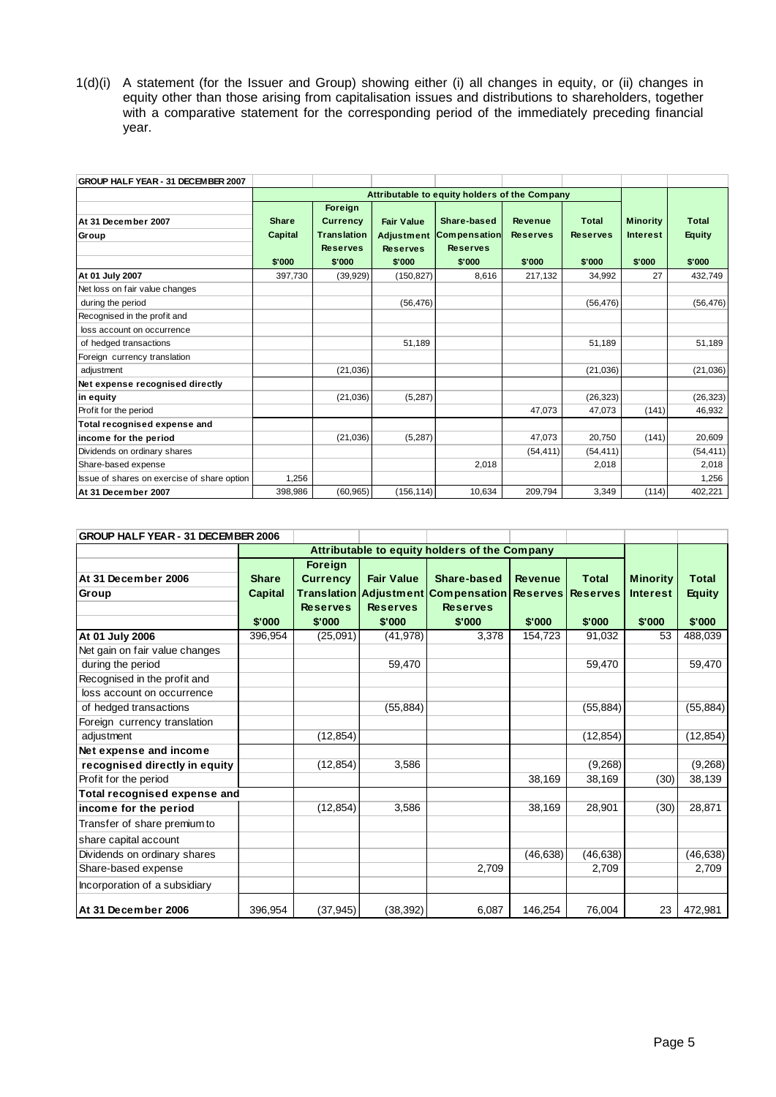1(d)(i) A statement (for the Issuer and Group) showing either (i) all changes in equity, or (ii) changes in equity other than those arising from capitalisation issues and distributions to shareholders, together with a comparative statement for the corresponding period of the immediately preceding financial year.

| GROUP HALF YEAR - 31 DECEMBER 2007          |                                          |                                                                               |                                                                     |                                                                 |                                      |                                    |                                              |                                  |
|---------------------------------------------|------------------------------------------|-------------------------------------------------------------------------------|---------------------------------------------------------------------|-----------------------------------------------------------------|--------------------------------------|------------------------------------|----------------------------------------------|----------------------------------|
|                                             |                                          |                                                                               |                                                                     | Attributable to equity holders of the Company                   |                                      |                                    |                                              |                                  |
| At 31 December 2007<br>Group                | <b>Share</b><br><b>Capital</b><br>\$'000 | Foreign<br><b>Currency</b><br><b>Translation</b><br><b>Reserves</b><br>\$'000 | <b>Fair Value</b><br><b>Adjustment</b><br><b>Reserves</b><br>\$'000 | Share-based<br><b>Compensation</b><br><b>Reserves</b><br>\$'000 | Revenue<br><b>Reserves</b><br>\$'000 | Total<br><b>Reserves</b><br>\$'000 | <b>Minority</b><br><b>Interest</b><br>\$'000 | Total<br><b>Equity</b><br>\$'000 |
| At 01 July 2007                             | 397,730                                  | (39, 929)                                                                     | (150, 827)                                                          | 8.616                                                           | 217.132                              | 34.992                             | 27                                           | 432.749                          |
| Net loss on fair value changes              |                                          |                                                                               |                                                                     |                                                                 |                                      |                                    |                                              |                                  |
| during the period                           |                                          |                                                                               | (56, 476)                                                           |                                                                 |                                      | (56, 476)                          |                                              | (56, 476)                        |
| Recognised in the profit and                |                                          |                                                                               |                                                                     |                                                                 |                                      |                                    |                                              |                                  |
| loss account on occurrence                  |                                          |                                                                               |                                                                     |                                                                 |                                      |                                    |                                              |                                  |
| of hedged transactions                      |                                          |                                                                               | 51,189                                                              |                                                                 |                                      | 51.189                             |                                              | 51.189                           |
| Foreign currency translation                |                                          |                                                                               |                                                                     |                                                                 |                                      |                                    |                                              |                                  |
| adjustment                                  |                                          | (21,036)                                                                      |                                                                     |                                                                 |                                      | (21, 036)                          |                                              | (21, 036)                        |
| Net expense recognised directly             |                                          |                                                                               |                                                                     |                                                                 |                                      |                                    |                                              |                                  |
| in equity                                   |                                          | (21, 036)                                                                     | (5,287)                                                             |                                                                 |                                      | (26, 323)                          |                                              | (26, 323)                        |
| Profit for the period                       |                                          |                                                                               |                                                                     |                                                                 | 47.073                               | 47.073                             | (141)                                        | 46,932                           |
| Total recognised expense and                |                                          |                                                                               |                                                                     |                                                                 |                                      |                                    |                                              |                                  |
| income for the period                       |                                          | (21,036)                                                                      | (5,287)                                                             |                                                                 | 47.073                               | 20.750                             | (141)                                        | 20,609                           |
| Dividends on ordinary shares                |                                          |                                                                               |                                                                     |                                                                 | (54, 411)                            | (54, 411)                          |                                              | (54, 411)                        |
| Share-based expense                         |                                          |                                                                               |                                                                     | 2,018                                                           |                                      | 2,018                              |                                              | 2,018                            |
| Issue of shares on exercise of share option | 1.256                                    |                                                                               |                                                                     |                                                                 |                                      |                                    |                                              | 1,256                            |
| At 31 December 2007                         | 398,986                                  | (60, 965)                                                                     | (156, 114)                                                          | 10,634                                                          | 209,794                              | 3,349                              | (114)                                        | 402,221                          |

| GROUP HALF YEAR - 31 DECEMBER 2006 |                                          |                                                                |                                                |                                                                                                           |                          |                        |                                              |                                         |
|------------------------------------|------------------------------------------|----------------------------------------------------------------|------------------------------------------------|-----------------------------------------------------------------------------------------------------------|--------------------------|------------------------|----------------------------------------------|-----------------------------------------|
|                                    |                                          |                                                                |                                                | Attributable to equity holders of the Company                                                             |                          |                        |                                              |                                         |
| At 31 December 2006<br>Group       | <b>Share</b><br><b>Capital</b><br>\$'000 | <b>Foreign</b><br><b>Currency</b><br><b>Reserves</b><br>\$'000 | <b>Fair Value</b><br><b>Reserves</b><br>\$'000 | Share-based<br>Translation   Adjustment   Compensation   Reserves   Reserves<br><b>Reserves</b><br>\$'000 | <b>Revenue</b><br>\$'000 | <b>Total</b><br>\$'000 | <b>Minority</b><br><b>Interest</b><br>\$'000 | <b>Total</b><br><b>Equity</b><br>\$'000 |
| At 01 July 2006                    | 396,954                                  | (25,091)                                                       | (41, 978)                                      | 3,378                                                                                                     | 154,723                  | 91,032                 | 53                                           | 488,039                                 |
| Net gain on fair value changes     |                                          |                                                                |                                                |                                                                                                           |                          |                        |                                              |                                         |
| during the period                  |                                          |                                                                | 59,470                                         |                                                                                                           |                          | 59,470                 |                                              | 59,470                                  |
| Recognised in the profit and       |                                          |                                                                |                                                |                                                                                                           |                          |                        |                                              |                                         |
| loss account on occurrence         |                                          |                                                                |                                                |                                                                                                           |                          |                        |                                              |                                         |
| of hedged transactions             |                                          |                                                                | (55, 884)                                      |                                                                                                           |                          | (55, 884)              |                                              | (55, 884)                               |
| Foreign currency translation       |                                          |                                                                |                                                |                                                                                                           |                          |                        |                                              |                                         |
| adjustment                         |                                          | (12, 854)                                                      |                                                |                                                                                                           |                          | (12, 854)              |                                              | (12, 854)                               |
| Net expense and income             |                                          |                                                                |                                                |                                                                                                           |                          |                        |                                              |                                         |
| recognised directly in equity      |                                          | (12, 854)                                                      | 3,586                                          |                                                                                                           |                          | (9,268)                |                                              | (9,268)                                 |
| Profit for the period              |                                          |                                                                |                                                |                                                                                                           | 38,169                   | 38,169                 | (30)                                         | 38,139                                  |
| Total recognised expense and       |                                          |                                                                |                                                |                                                                                                           |                          |                        |                                              |                                         |
| income for the period              |                                          | (12, 854)                                                      | 3,586                                          |                                                                                                           | 38,169                   | 28.901                 | (30)                                         | 28.871                                  |
| Transfer of share premium to       |                                          |                                                                |                                                |                                                                                                           |                          |                        |                                              |                                         |
| share capital account              |                                          |                                                                |                                                |                                                                                                           |                          |                        |                                              |                                         |
| Dividends on ordinary shares       |                                          |                                                                |                                                |                                                                                                           | (46, 638)                | (46, 638)              |                                              | (46, 638)                               |
| Share-based expense                |                                          |                                                                |                                                | 2,709                                                                                                     |                          | 2,709                  |                                              | 2,709                                   |
| Incorporation of a subsidiary      |                                          |                                                                |                                                |                                                                                                           |                          |                        |                                              |                                         |
| At 31 December 2006                | 396,954                                  | (37, 945)                                                      | (38, 392)                                      | 6,087                                                                                                     | 146,254                  | 76,004                 | 23                                           | 472,981                                 |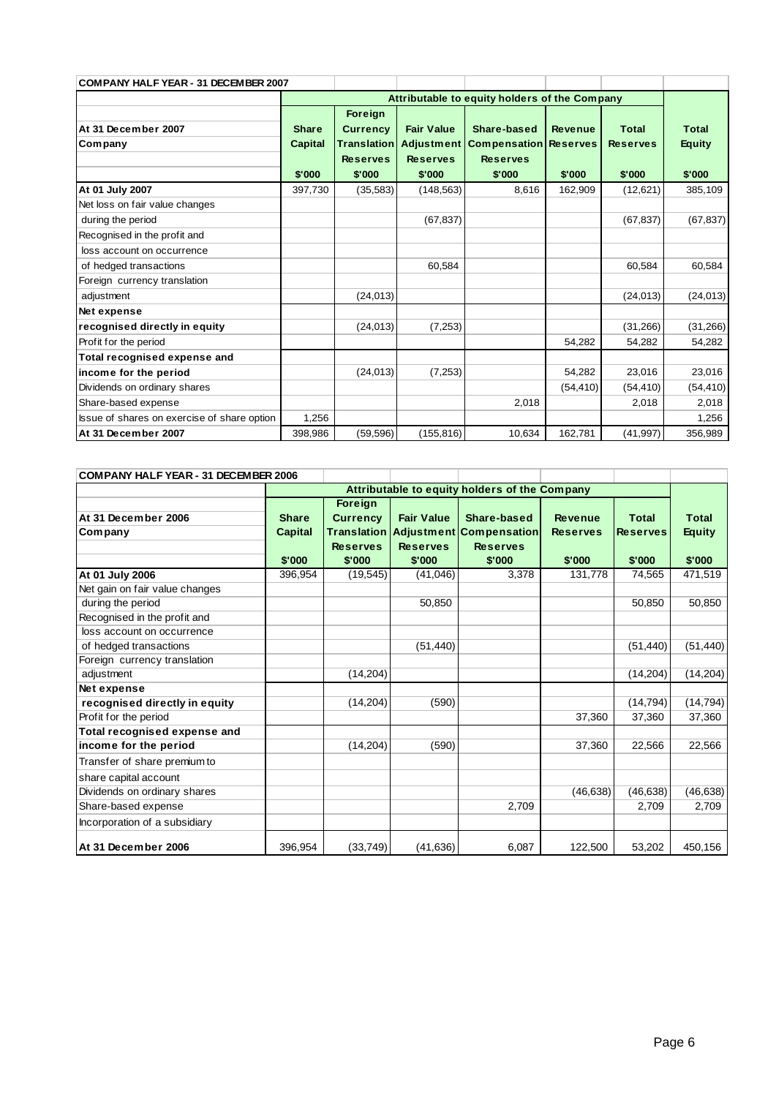| <b>COMPANY HALF YEAR - 31 DECEMBER 2007</b> |              |                    |                   |                                               |                |                 |               |
|---------------------------------------------|--------------|--------------------|-------------------|-----------------------------------------------|----------------|-----------------|---------------|
|                                             |              |                    |                   | Attributable to equity holders of the Company |                |                 |               |
|                                             |              | Foreign            |                   |                                               |                |                 |               |
| At 31 December 2007                         | <b>Share</b> | <b>Currency</b>    | <b>Fair Value</b> | Share-based                                   | <b>Revenue</b> | <b>Total</b>    | <b>Total</b>  |
| Company                                     | Capital      | <b>Translation</b> | <b>Adjustment</b> | <b>Compensation Reserves</b>                  |                | <b>Reserves</b> | <b>Equity</b> |
|                                             |              | <b>Reserves</b>    | <b>Reserves</b>   | <b>Reserves</b>                               |                |                 |               |
|                                             | \$'000       | \$'000             | \$'000            | \$'000                                        | \$'000         | \$'000          | \$'000        |
| At 01 July 2007                             | 397,730      | (35, 583)          | (148, 563)        | 8,616                                         | 162,909        | (12,621)        | 385,109       |
| Net loss on fair value changes              |              |                    |                   |                                               |                |                 |               |
| during the period                           |              |                    | (67, 837)         |                                               |                | (67, 837)       | (67, 837)     |
| Recognised in the profit and                |              |                    |                   |                                               |                |                 |               |
| loss account on occurrence                  |              |                    |                   |                                               |                |                 |               |
| of hedged transactions                      |              |                    | 60,584            |                                               |                | 60,584          | 60,584        |
| Foreign currency translation                |              |                    |                   |                                               |                |                 |               |
| adjustment                                  |              | (24, 013)          |                   |                                               |                | (24, 013)       | (24, 013)     |
| Net expense                                 |              |                    |                   |                                               |                |                 |               |
| recognised directly in equity               |              | (24, 013)          | (7, 253)          |                                               |                | (31, 266)       | (31, 266)     |
| Profit for the period                       |              |                    |                   |                                               | 54,282         | 54,282          | 54,282        |
| Total recognised expense and                |              |                    |                   |                                               |                |                 |               |
| income for the period                       |              | (24, 013)          | (7, 253)          |                                               | 54,282         | 23,016          | 23,016        |
| Dividends on ordinary shares                |              |                    |                   |                                               | (54, 410)      | (54, 410)       | (54, 410)     |
| Share-based expense                         |              |                    |                   | 2,018                                         |                | 2,018           | 2,018         |
| Issue of shares on exercise of share option | 1,256        |                    |                   |                                               |                |                 | 1,256         |
| At 31 December 2007                         | 398,986      | (59, 596)          | (155, 816)        | 10,634                                        | 162,781        | (41, 997)       | 356,989       |

| COMPANY HALF YEAR - 31 DECEMBER 2006 |                                          |                                                                |                                                |                                                                                        |                                             |                                           |                                         |
|--------------------------------------|------------------------------------------|----------------------------------------------------------------|------------------------------------------------|----------------------------------------------------------------------------------------|---------------------------------------------|-------------------------------------------|-----------------------------------------|
|                                      |                                          |                                                                |                                                | Attributable to equity holders of the Company                                          |                                             |                                           |                                         |
| At 31 December 2006<br>Company       | <b>Share</b><br><b>Capital</b><br>\$'000 | <b>Foreign</b><br><b>Currency</b><br><b>Reserves</b><br>\$'000 | <b>Fair Value</b><br><b>Reserves</b><br>\$'000 | Share-based<br><b>Translation Adjustment Compensation</b><br><b>Reserves</b><br>\$'000 | <b>Revenue</b><br><b>Reserves</b><br>\$'000 | <b>Total</b><br><b>Reserves</b><br>\$'000 | <b>Total</b><br><b>Equity</b><br>\$'000 |
| At 01 July 2006                      | 396,954                                  | (19, 545)                                                      | (41,046)                                       | 3,378                                                                                  | 131,778                                     | 74,565                                    | 471,519                                 |
| Net gain on fair value changes       |                                          |                                                                |                                                |                                                                                        |                                             |                                           |                                         |
| during the period                    |                                          |                                                                | 50,850                                         |                                                                                        |                                             | 50,850                                    | 50,850                                  |
| Recognised in the profit and         |                                          |                                                                |                                                |                                                                                        |                                             |                                           |                                         |
| loss account on occurrence           |                                          |                                                                |                                                |                                                                                        |                                             |                                           |                                         |
| of hedged transactions               |                                          |                                                                | (51, 440)                                      |                                                                                        |                                             | (51, 440)                                 | (51, 440)                               |
| Foreign currency translation         |                                          |                                                                |                                                |                                                                                        |                                             |                                           |                                         |
| adjustment                           |                                          | (14, 204)                                                      |                                                |                                                                                        |                                             | (14, 204)                                 | (14, 204)                               |
| Net expense                          |                                          |                                                                |                                                |                                                                                        |                                             |                                           |                                         |
| recognised directly in equity        |                                          | (14, 204)                                                      | (590)                                          |                                                                                        |                                             | (14, 794)                                 | (14, 794)                               |
| Profit for the period                |                                          |                                                                |                                                |                                                                                        | 37,360                                      | 37,360                                    | 37,360                                  |
| Total recognised expense and         |                                          |                                                                |                                                |                                                                                        |                                             |                                           |                                         |
| income for the period                |                                          | (14, 204)                                                      | (590)                                          |                                                                                        | 37,360                                      | 22,566                                    | 22,566                                  |
| Transfer of share premium to         |                                          |                                                                |                                                |                                                                                        |                                             |                                           |                                         |
| share capital account                |                                          |                                                                |                                                |                                                                                        |                                             |                                           |                                         |
| Dividends on ordinary shares         |                                          |                                                                |                                                |                                                                                        | (46, 638)                                   | (46, 638)                                 | (46, 638)                               |
| Share-based expense                  |                                          |                                                                |                                                | 2,709                                                                                  |                                             | 2,709                                     | 2,709                                   |
| Incorporation of a subsidiary        |                                          |                                                                |                                                |                                                                                        |                                             |                                           |                                         |
| At 31 December 2006                  | 396,954                                  | (33,749)                                                       | (41, 636)                                      | 6,087                                                                                  | 122,500                                     | 53,202                                    | 450,156                                 |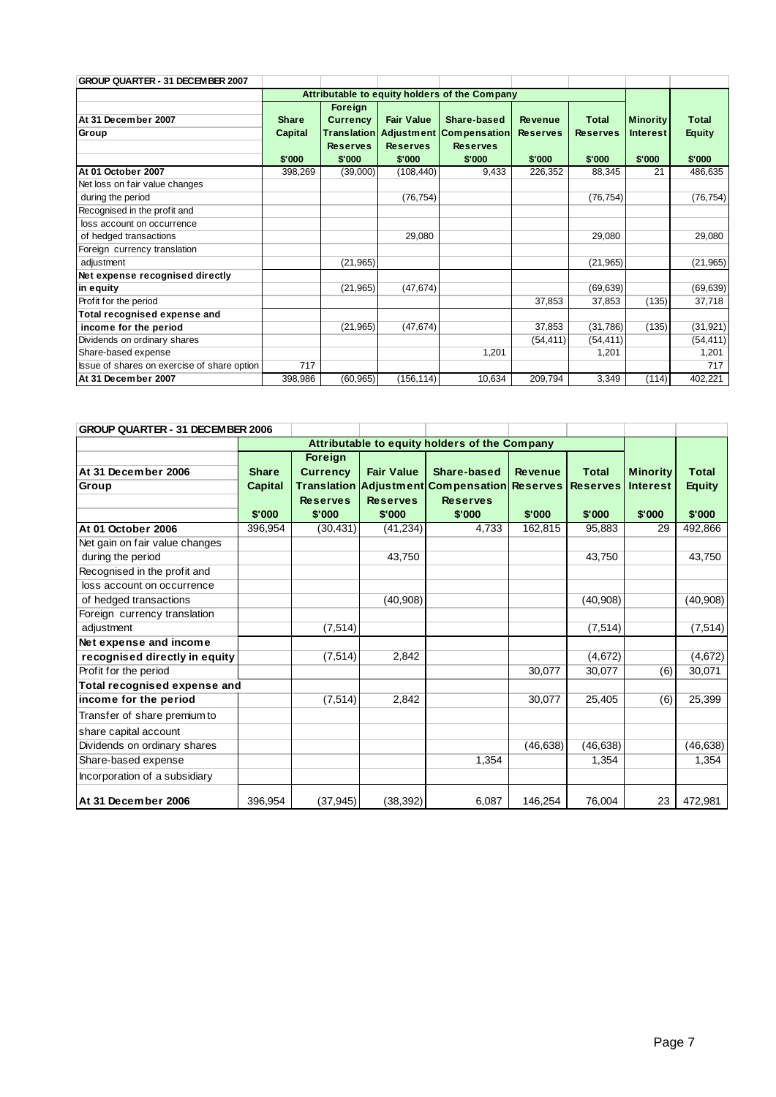| GROUP QUARTER - 31 DECEMBER 2007            |              |                 |                   |                                               |                 |                 |                 |               |
|---------------------------------------------|--------------|-----------------|-------------------|-----------------------------------------------|-----------------|-----------------|-----------------|---------------|
|                                             |              |                 |                   | Attributable to equity holders of the Company |                 |                 |                 |               |
|                                             |              | Foreign         |                   |                                               |                 |                 |                 |               |
| At 31 December 2007                         | <b>Share</b> | <b>Currency</b> | <b>Fair Value</b> | Share-based                                   | <b>Revenue</b>  | <b>Total</b>    | <b>Minority</b> | <b>Total</b>  |
| Group                                       | Capital      |                 |                   | <b>Translation Adjustment Compensation</b>    | <b>Reserves</b> | <b>Reserves</b> | <b>Interest</b> | <b>Equity</b> |
|                                             |              | <b>Reserves</b> | <b>Reserves</b>   | <b>Reserves</b>                               |                 |                 |                 |               |
|                                             | \$'000       | \$'000          | \$'000            | \$'000                                        | \$'000          | \$'000          | \$'000          | \$'000        |
| At 01 October 2007                          | 398,269      | (39,000)        | (108, 440)        | 9,433                                         | 226,352         | 88,345          | 21              | 486,635       |
| Net loss on fair value changes              |              |                 |                   |                                               |                 |                 |                 |               |
| during the period                           |              |                 | (76, 754)         |                                               |                 | (76, 754)       |                 | (76, 754)     |
| Recognised in the profit and                |              |                 |                   |                                               |                 |                 |                 |               |
| loss account on occurrence                  |              |                 |                   |                                               |                 |                 |                 |               |
| of hedged transactions                      |              |                 | 29,080            |                                               |                 | 29,080          |                 | 29,080        |
| Foreign currency translation                |              |                 |                   |                                               |                 |                 |                 |               |
| adjustment                                  |              | (21, 965)       |                   |                                               |                 | (21, 965)       |                 | (21, 965)     |
| Net expense recognised directly             |              |                 |                   |                                               |                 |                 |                 |               |
| in equity                                   |              | (21,965)        | (47, 674)         |                                               |                 | (69, 639)       |                 | (69, 639)     |
| Profit for the period                       |              |                 |                   |                                               | 37,853          | 37,853          | (135)           | 37,718        |
| Total recognised expense and                |              |                 |                   |                                               |                 |                 |                 |               |
| income for the period                       |              | (21,965)        | (47, 674)         |                                               | 37,853          | (31,786)        | (135)           | (31, 921)     |
| Dividends on ordinary shares                |              |                 |                   |                                               | (54, 411)       | (54, 411)       |                 | (54, 411)     |
| Share-based expense                         |              |                 |                   | 1,201                                         |                 | 1,201           |                 | 1,201         |
| Issue of shares on exercise of share option | 717          |                 |                   |                                               |                 |                 |                 | 717           |
| At 31 December 2007                         | 398,986      | (60, 965)       | (156, 114)        | 10,634                                        | 209,794         | 3,349           | (114)           | 402,221       |

| GROUP QUARTER - 31 DECEMBER 2006 |              |                                               |                   |                                              |                |                 |                 |               |
|----------------------------------|--------------|-----------------------------------------------|-------------------|----------------------------------------------|----------------|-----------------|-----------------|---------------|
|                                  |              | Attributable to equity holders of the Company |                   |                                              |                |                 |                 |               |
|                                  |              | Foreign                                       |                   |                                              |                |                 |                 |               |
| At 31 December 2006              | <b>Share</b> | <b>Currency</b>                               | <b>Fair Value</b> | Share-based                                  | <b>Revenue</b> | <b>Total</b>    | <b>Minority</b> | <b>Total</b>  |
| Group                            | Capital      |                                               |                   | Translation Adjustment Compensation Reserves |                | <b>Reserves</b> | <b>Interest</b> | <b>Equity</b> |
|                                  |              | <b>Reserves</b>                               | <b>Reserves</b>   | <b>Reserves</b>                              |                |                 |                 |               |
|                                  | \$'000       | \$'000                                        | \$'000            | \$'000                                       | \$'000         | \$'000          | \$'000          | \$'000        |
| At 01 October 2006               | 396,954      | (30, 431)                                     | (41, 234)         | 4,733                                        | 162,815        | 95,883          | 29              | 492,866       |
| Net gain on fair value changes   |              |                                               |                   |                                              |                |                 |                 |               |
| during the period                |              |                                               | 43,750            |                                              |                | 43,750          |                 | 43.750        |
| Recognised in the profit and     |              |                                               |                   |                                              |                |                 |                 |               |
| loss account on occurrence       |              |                                               |                   |                                              |                |                 |                 |               |
| of hedged transactions           |              |                                               | (40, 908)         |                                              |                | (40, 908)       |                 | (40, 908)     |
| Foreign currency translation     |              |                                               |                   |                                              |                |                 |                 |               |
| adjustment                       |              | (7, 514)                                      |                   |                                              |                | (7, 514)        |                 | (7, 514)      |
| Net expense and income           |              |                                               |                   |                                              |                |                 |                 |               |
| recognised directly in equity    |              | (7, 514)                                      | 2,842             |                                              |                | (4,672)         |                 | (4, 672)      |
| Profit for the period            |              |                                               |                   |                                              | 30,077         | 30,077          | (6)             | 30,071        |
| Total recognised expense and     |              |                                               |                   |                                              |                |                 |                 |               |
| income for the period            |              | (7, 514)                                      | 2,842             |                                              | 30,077         | 25,405          | (6)             | 25,399        |
| Transfer of share premium to     |              |                                               |                   |                                              |                |                 |                 |               |
| share capital account            |              |                                               |                   |                                              |                |                 |                 |               |
| Dividends on ordinary shares     |              |                                               |                   |                                              | (46, 638)      | (46, 638)       |                 | (46, 638)     |
| Share-based expense              |              |                                               |                   | 1.354                                        |                | 1,354           |                 | 1,354         |
| Incorporation of a subsidiary    |              |                                               |                   |                                              |                |                 |                 |               |
| At 31 December 2006              | 396,954      | (37, 945)                                     | (38, 392)         | 6,087                                        | 146,254        | 76,004          | 23              | 472,981       |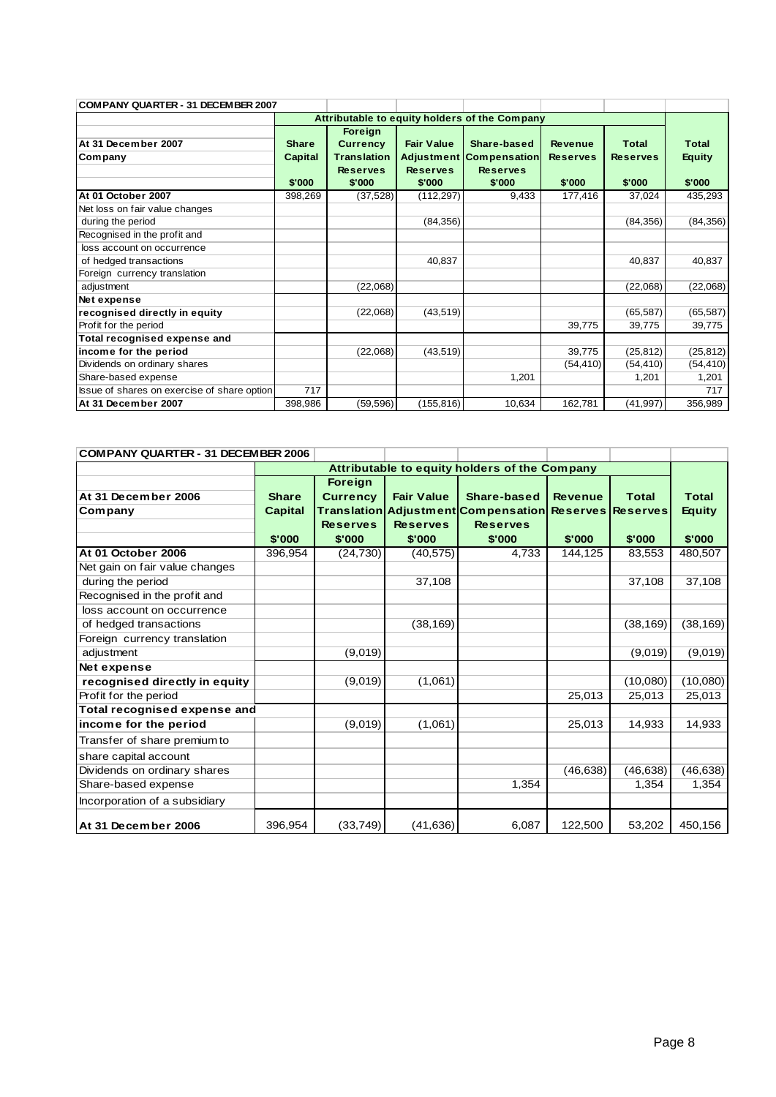| COMPANY QUARTER - 31 DECEMBER 2007          |                |                    |                   |                                               |                 |                 |               |
|---------------------------------------------|----------------|--------------------|-------------------|-----------------------------------------------|-----------------|-----------------|---------------|
|                                             |                |                    |                   | Attributable to equity holders of the Company |                 |                 |               |
|                                             |                | Foreign            |                   |                                               |                 |                 |               |
| At 31 December 2007                         | <b>Share</b>   | <b>Currency</b>    | <b>Fair Value</b> | Share-based                                   | <b>Revenue</b>  | <b>Total</b>    | <b>Total</b>  |
| Company                                     | <b>Capital</b> | <b>Translation</b> | <b>Adjustment</b> | Compensation                                  | <b>Reserves</b> | <b>Reserves</b> | <b>Equity</b> |
|                                             |                | <b>Reserves</b>    | <b>Reserves</b>   | <b>Reserves</b>                               |                 |                 |               |
|                                             | \$'000         | \$'000             | \$'000            | \$'000                                        | \$'000          | \$'000          | \$'000        |
| At 01 October 2007                          | 398,269        | (37, 528)          | (112, 297)        | 9,433                                         | 177,416         | 37,024          | 435,293       |
| Net loss on fair value changes              |                |                    |                   |                                               |                 |                 |               |
| during the period                           |                |                    | (84, 356)         |                                               |                 | (84, 356)       | (84, 356)     |
| Recognised in the profit and                |                |                    |                   |                                               |                 |                 |               |
| loss account on occurrence                  |                |                    |                   |                                               |                 |                 |               |
| of hedged transactions                      |                |                    | 40,837            |                                               |                 | 40,837          | 40,837        |
| Foreign currency translation                |                |                    |                   |                                               |                 |                 |               |
| adjustment                                  |                | (22,068)           |                   |                                               |                 | (22,068)        | (22,068)      |
| Net expense                                 |                |                    |                   |                                               |                 |                 |               |
| recognised directly in equity               |                | (22,068)           | (43, 519)         |                                               |                 | (65, 587)       | (65, 587)     |
| Profit for the period                       |                |                    |                   |                                               | 39,775          | 39,775          | 39,775        |
| Total recognised expense and                |                |                    |                   |                                               |                 |                 |               |
| income for the period                       |                | (22,068)           | (43, 519)         |                                               | 39,775          | (25, 812)       | (25, 812)     |
| Dividends on ordinary shares                |                |                    |                   |                                               | (54, 410)       | (54, 410)       | (54, 410)     |
| Share-based expense                         |                |                    |                   | 1,201                                         |                 | 1,201           | 1,201         |
| Issue of shares on exercise of share option | 717            |                    |                   |                                               |                 |                 | 717           |
| At 31 December 2007                         | 398,986        | (59, 596)          | (155, 816)        | 10,634                                        | 162,781         | (41, 997)       | 356,989       |

| <b>COMPANY QUARTER - 31 DECEMBER 2006</b> |                                               |                 |                   |                                                       |                |              |               |  |
|-------------------------------------------|-----------------------------------------------|-----------------|-------------------|-------------------------------------------------------|----------------|--------------|---------------|--|
|                                           | Attributable to equity holders of the Company |                 |                   |                                                       |                |              |               |  |
|                                           |                                               | <b>Foreign</b>  |                   |                                                       |                |              |               |  |
| At 31 December 2006                       | <b>Share</b>                                  | <b>Currency</b> | <b>Fair Value</b> | Share-based                                           | <b>Revenue</b> | <b>Total</b> | <b>Total</b>  |  |
| Company                                   | <b>Capital</b>                                |                 |                   | Translation Adjustment Compensation Reserves Reserves |                |              | <b>Equity</b> |  |
|                                           |                                               | <b>Reserves</b> | <b>Reserves</b>   | <b>Reserves</b>                                       |                |              |               |  |
|                                           | \$'000                                        | \$'000          | \$'000            | \$'000                                                | \$'000         | \$'000       | \$'000        |  |
| At 01 October 2006                        | 396,954                                       | (24, 730)       | (40, 575)         | 4,733                                                 | 144,125        | 83,553       | 480,507       |  |
| Net gain on fair value changes            |                                               |                 |                   |                                                       |                |              |               |  |
| during the period                         |                                               |                 | 37,108            |                                                       |                | 37,108       | 37,108        |  |
| Recognised in the profit and              |                                               |                 |                   |                                                       |                |              |               |  |
| loss account on occurrence                |                                               |                 |                   |                                                       |                |              |               |  |
| of hedged transactions                    |                                               |                 | (38, 169)         |                                                       |                | (38, 169)    | (38, 169)     |  |
| Foreign currency translation              |                                               |                 |                   |                                                       |                |              |               |  |
| adjustment                                |                                               | (9,019)         |                   |                                                       |                | (9,019)      | (9,019)       |  |
| Net expense                               |                                               |                 |                   |                                                       |                |              |               |  |
| recognised directly in equity             |                                               | (9,019)         | (1,061)           |                                                       |                | (10,080)     | (10,080)      |  |
| Profit for the period                     |                                               |                 |                   |                                                       | 25,013         | 25,013       | 25,013        |  |
| Total recognised expense and              |                                               |                 |                   |                                                       |                |              |               |  |
| income for the period                     |                                               | (9,019)         | (1,061)           |                                                       | 25,013         | 14,933       | 14,933        |  |
| Transfer of share premium to              |                                               |                 |                   |                                                       |                |              |               |  |
| share capital account                     |                                               |                 |                   |                                                       |                |              |               |  |
| Dividends on ordinary shares              |                                               |                 |                   |                                                       | (46, 638)      | (46, 638)    | (46, 638)     |  |
| Share-based expense                       |                                               |                 |                   | 1,354                                                 |                | 1,354        | 1,354         |  |
| Incorporation of a subsidiary             |                                               |                 |                   |                                                       |                |              |               |  |
| At 31 December 2006                       | 396,954                                       | (33,749)        | (41, 636)         | 6,087                                                 | 122,500        | 53,202       | 450,156       |  |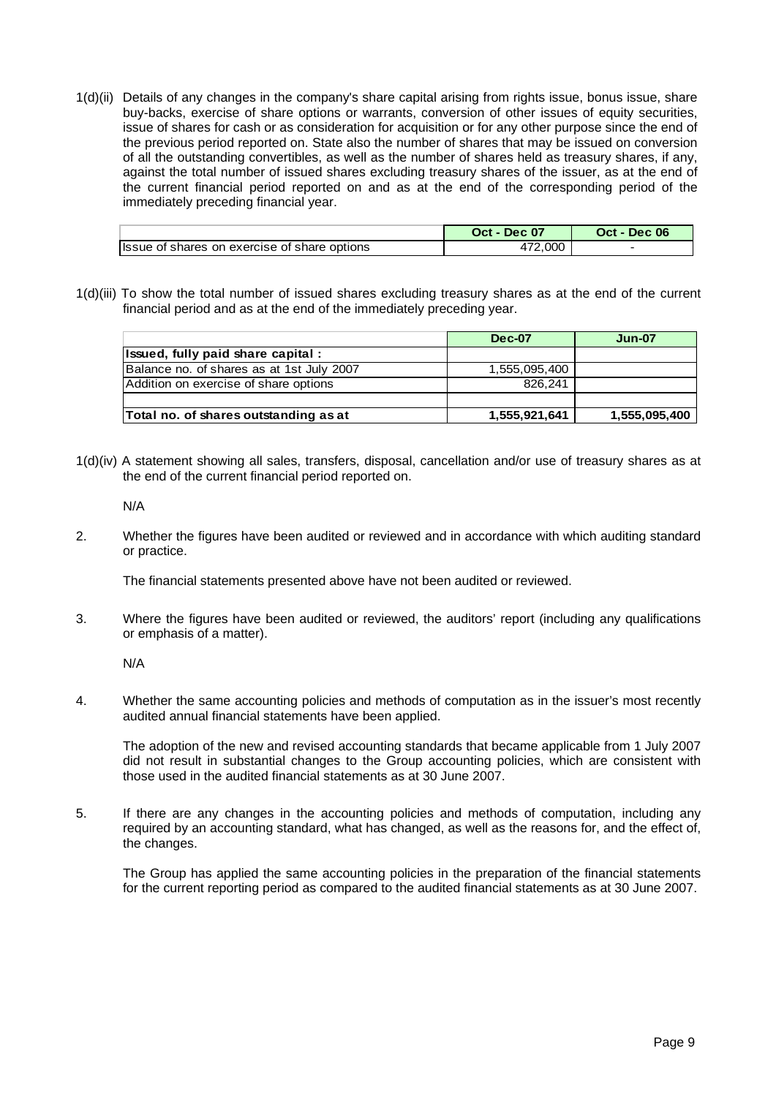1(d)(ii) Details of any changes in the company's share capital arising from rights issue, bonus issue, share buy-backs, exercise of share options or warrants, conversion of other issues of equity securities, issue of shares for cash or as consideration for acquisition or for any other purpose since the end of the previous period reported on. State also the number of shares that may be issued on conversion of all the outstanding convertibles, as well as the number of shares held as treasury shares, if any, against the total number of issued shares excluding treasury shares of the issuer, as at the end of the current financial period reported on and as at the end of the corresponding period of the immediately preceding financial year.

|                                              | Oct - Dec 07 | Oct - Dec 06 |
|----------------------------------------------|--------------|--------------|
| Issue of shares on exercise of share options | .000         |              |

1(d)(iii) To show the total number of issued shares excluding treasury shares as at the end of the current financial period and as at the end of the immediately preceding year.

|                                           | <b>Dec-07</b> | <b>Jun-07</b> |
|-------------------------------------------|---------------|---------------|
| Issued, fully paid share capital:         |               |               |
| Balance no. of shares as at 1st July 2007 | 1,555,095,400 |               |
| Addition on exercise of share options     | 826.241       |               |
|                                           |               |               |
| Total no. of shares outstanding as at     | 1,555,921,641 | 1,555,095,400 |

1(d)(iv) A statement showing all sales, transfers, disposal, cancellation and/or use of treasury shares as at the end of the current financial period reported on.

N/A

2. Whether the figures have been audited or reviewed and in accordance with which auditing standard or practice.

The financial statements presented above have not been audited or reviewed.

3. Where the figures have been audited or reviewed, the auditors' report (including any qualifications or emphasis of a matter).

N/A

4. Whether the same accounting policies and methods of computation as in the issuer's most recently audited annual financial statements have been applied.

 The adoption of the new and revised accounting standards that became applicable from 1 July 2007 did not result in substantial changes to the Group accounting policies, which are consistent with those used in the audited financial statements as at 30 June 2007.

5. If there are any changes in the accounting policies and methods of computation, including any required by an accounting standard, what has changed, as well as the reasons for, and the effect of, the changes.

 The Group has applied the same accounting policies in the preparation of the financial statements for the current reporting period as compared to the audited financial statements as at 30 June 2007.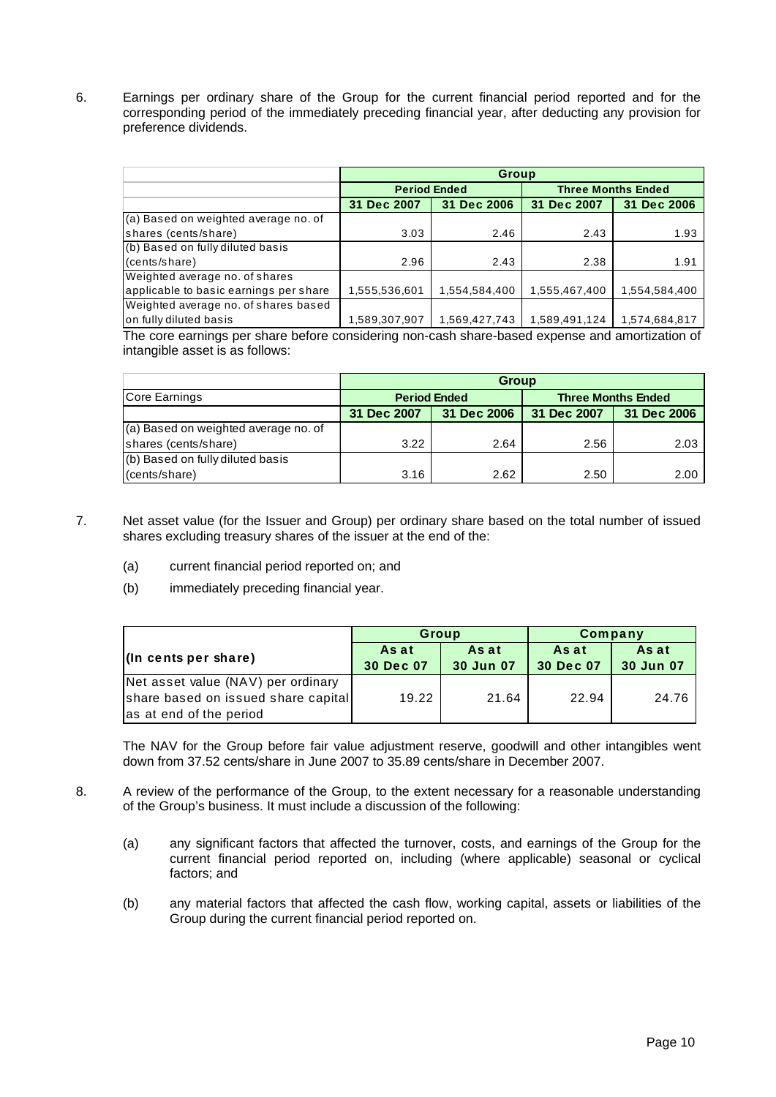6. Earnings per ordinary share of the Group for the current financial period reported and for the corresponding period of the immediately preceding financial year, after deducting any provision for preference dividends.

|                                        | Group         |                     |               |                           |  |  |  |
|----------------------------------------|---------------|---------------------|---------------|---------------------------|--|--|--|
|                                        |               | <b>Period Ended</b> |               | <b>Three Months Ended</b> |  |  |  |
|                                        | 31 Dec 2007   | 31 Dec 2006         | 31 Dec 2007   | 31 Dec 2006               |  |  |  |
| (a) Based on weighted average no. of   |               |                     |               |                           |  |  |  |
| shares (cents/share)                   | 3.03          | 2.46                | 2.43          | 1.93                      |  |  |  |
| (b) Based on fully diluted basis       |               |                     |               |                           |  |  |  |
| (cents/share)                          | 2.96          | 2.43                | 2.38          | 1.91                      |  |  |  |
| Weighted average no. of shares         |               |                     |               |                           |  |  |  |
| applicable to basic earnings per share | 1,555,536,601 | 1,554,584,400       | 1,555,467,400 | 1,554,584,400             |  |  |  |
| Weighted average no. of shares based   |               |                     |               |                           |  |  |  |
| on fully diluted basis                 | 1,589,307,907 | 1,569,427,743       | 1,589,491,124 | 1,574,684,817             |  |  |  |

The core earnings per share before considering non-cash share-based expense and amortization of intangible asset is as follows:

|                                      | <b>Group</b>        |             |                           |             |  |  |  |
|--------------------------------------|---------------------|-------------|---------------------------|-------------|--|--|--|
| Core Earnings                        | <b>Period Ended</b> |             | <b>Three Months Ended</b> |             |  |  |  |
|                                      | 31 Dec 2007         | 31 Dec 2006 | 31 Dec 2007               | 31 Dec 2006 |  |  |  |
| (a) Based on weighted average no. of |                     |             |                           |             |  |  |  |
| shares (cents/share)                 | 3.22                | 2.64        | 2.56                      | 2.03        |  |  |  |
| (b) Based on fully diluted basis     |                     |             |                           |             |  |  |  |
| (cents/share)                        | 3.16                | 2.62        | 2.50                      | 2.00        |  |  |  |

- 7. Net asset value (for the Issuer and Group) per ordinary share based on the total number of issued shares excluding treasury shares of the issuer at the end of the:
	- (a) current financial period reported on; and
	- (b) immediately preceding financial year.

|                                     | Group              |                    | Company            |                    |
|-------------------------------------|--------------------|--------------------|--------------------|--------------------|
| $\ln$ cents per share)              | As at<br>30 Dec 07 | As at<br>30 Jun 07 | As at<br>30 Dec 07 | As at<br>30 Jun 07 |
| Net asset value (NAV) per ordinary  |                    |                    |                    |                    |
| share based on issued share capital | 19.22              | 21.64              | 22.94              | 24.76              |
| as at end of the period             |                    |                    |                    |                    |

The NAV for the Group before fair value adjustment reserve, goodwill and other intangibles went down from 37.52 cents/share in June 2007 to 35.89 cents/share in December 2007.

- 8. A review of the performance of the Group, to the extent necessary for a reasonable understanding of the Group's business. It must include a discussion of the following:
	- (a) any significant factors that affected the turnover, costs, and earnings of the Group for the current financial period reported on, including (where applicable) seasonal or cyclical factors; and
	- (b) any material factors that affected the cash flow, working capital, assets or liabilities of the Group during the current financial period reported on.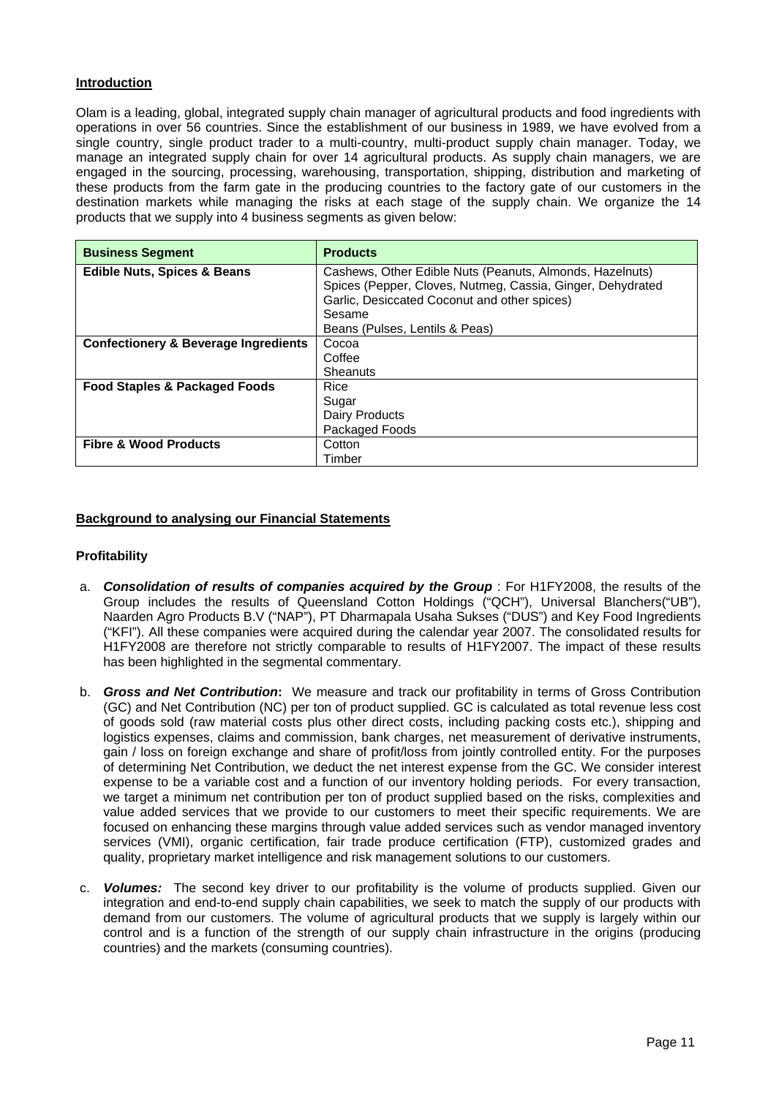## **Introduction**

Olam is a leading, global, integrated supply chain manager of agricultural products and food ingredients with operations in over 56 countries. Since the establishment of our business in 1989, we have evolved from a single country, single product trader to a multi-country, multi-product supply chain manager. Today, we manage an integrated supply chain for over 14 agricultural products. As supply chain managers, we are engaged in the sourcing, processing, warehousing, transportation, shipping, distribution and marketing of these products from the farm gate in the producing countries to the factory gate of our customers in the destination markets while managing the risks at each stage of the supply chain. We organize the 14 products that we supply into 4 business segments as given below:

| <b>Business Segment</b>                         | <b>Products</b>                                            |
|-------------------------------------------------|------------------------------------------------------------|
| <b>Edible Nuts, Spices &amp; Beans</b>          | Cashews, Other Edible Nuts (Peanuts, Almonds, Hazelnuts)   |
|                                                 | Spices (Pepper, Cloves, Nutmeg, Cassia, Ginger, Dehydrated |
|                                                 | Garlic, Desiccated Coconut and other spices)               |
|                                                 | Sesame                                                     |
|                                                 | Beans (Pulses, Lentils & Peas)                             |
| <b>Confectionery &amp; Beverage Ingredients</b> | Cocoa                                                      |
|                                                 | Coffee                                                     |
|                                                 | Sheanuts                                                   |
| <b>Food Staples &amp; Packaged Foods</b>        | Rice                                                       |
|                                                 | Sugar                                                      |
|                                                 | Dairy Products                                             |
|                                                 | Packaged Foods                                             |
| <b>Fibre &amp; Wood Products</b>                | Cotton                                                     |
|                                                 | Timber                                                     |

## **Background to analysing our Financial Statements**

### **Profitability**

- a. *Consolidation of results of companies acquired by the Group* : For H1FY2008, the results of the Group includes the results of Queensland Cotton Holdings ("QCH"), Universal Blanchers("UB"), Naarden Agro Products B.V ("NAP"), PT Dharmapala Usaha Sukses ("DUS") and Key Food Ingredients ("KFI"). All these companies were acquired during the calendar year 2007. The consolidated results for H1FY2008 are therefore not strictly comparable to results of H1FY2007. The impact of these results has been highlighted in the segmental commentary.
- b. *Gross and Net Contribution***:** We measure and track our profitability in terms of Gross Contribution (GC) and Net Contribution (NC) per ton of product supplied. GC is calculated as total revenue less cost of goods sold (raw material costs plus other direct costs, including packing costs etc.), shipping and logistics expenses, claims and commission, bank charges, net measurement of derivative instruments, gain / loss on foreign exchange and share of profit/loss from jointly controlled entity. For the purposes of determining Net Contribution, we deduct the net interest expense from the GC. We consider interest expense to be a variable cost and a function of our inventory holding periods. For every transaction, we target a minimum net contribution per ton of product supplied based on the risks, complexities and value added services that we provide to our customers to meet their specific requirements. We are focused on enhancing these margins through value added services such as vendor managed inventory services (VMI), organic certification, fair trade produce certification (FTP), customized grades and quality, proprietary market intelligence and risk management solutions to our customers.
- c. *Volumes:* The second key driver to our profitability is the volume of products supplied. Given our integration and end-to-end supply chain capabilities, we seek to match the supply of our products with demand from our customers. The volume of agricultural products that we supply is largely within our control and is a function of the strength of our supply chain infrastructure in the origins (producing countries) and the markets (consuming countries).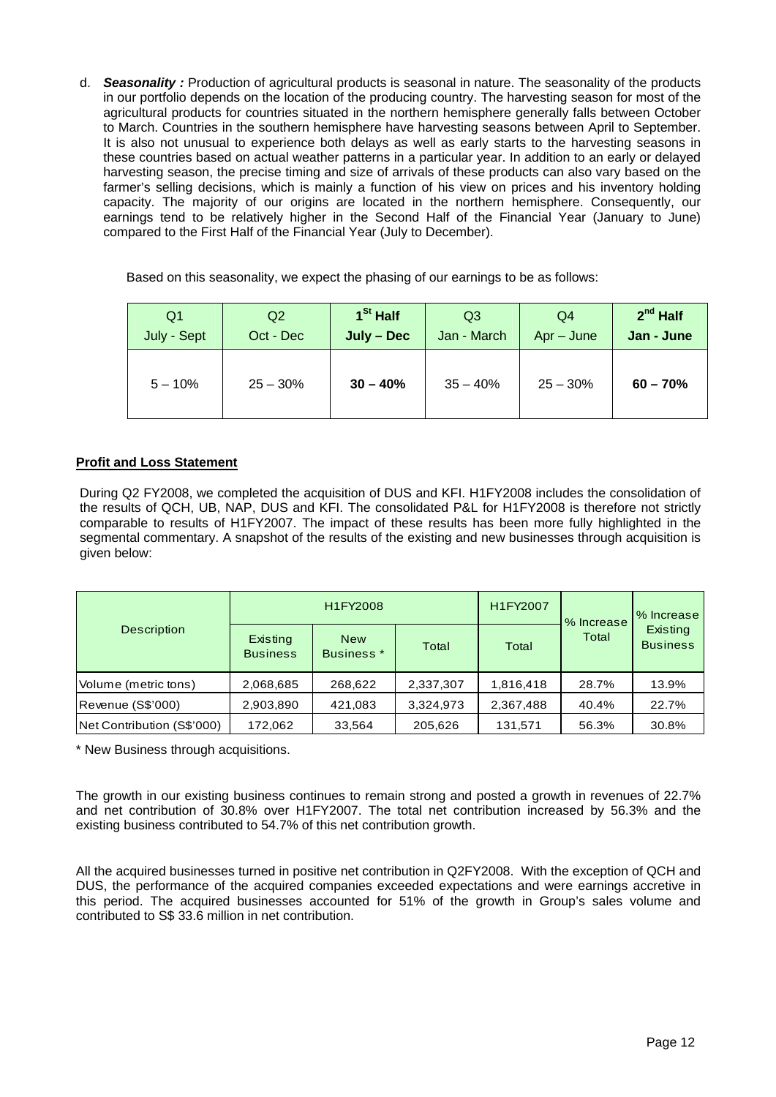d. *Seasonality :* Production of agricultural products is seasonal in nature. The seasonality of the products in our portfolio depends on the location of the producing country. The harvesting season for most of the agricultural products for countries situated in the northern hemisphere generally falls between October to March. Countries in the southern hemisphere have harvesting seasons between April to September. It is also not unusual to experience both delays as well as early starts to the harvesting seasons in these countries based on actual weather patterns in a particular year. In addition to an early or delayed harvesting season, the precise timing and size of arrivals of these products can also vary based on the farmer's selling decisions, which is mainly a function of his view on prices and his inventory holding capacity. The majority of our origins are located in the northern hemisphere. Consequently, our earnings tend to be relatively higher in the Second Half of the Financial Year (January to June) compared to the First Half of the Financial Year (July to December).

Based on this seasonality, we expect the phasing of our earnings to be as follows:

| Q <sub>1</sub> | Q2         | $1St$ Half | Q <sub>3</sub> | Q4           | $2^{nd}$ Half |
|----------------|------------|------------|----------------|--------------|---------------|
| July - Sept    | Oct - Dec  | July - Dec | Jan - March    | $Apr - June$ | Jan - June    |
| $5 - 10%$      | $25 - 30%$ | $30 - 40%$ | $35 - 40%$     | $25 - 30%$   | $60 - 70%$    |

# **Profit and Loss Statement**

During Q2 FY2008, we completed the acquisition of DUS and KFI. H1FY2008 includes the consolidation of the results of QCH, UB, NAP, DUS and KFI. The consolidated P&L for H1FY2008 is therefore not strictly comparable to results of H1FY2007. The impact of these results has been more fully highlighted in the segmental commentary. A snapshot of the results of the existing and new businesses through acquisition is given below:

| <b>Description</b>         |                             | H1FY2008                            |           | H1FY2007  | % Increase | 1% Increase |
|----------------------------|-----------------------------|-------------------------------------|-----------|-----------|------------|-------------|
|                            | Existing<br><b>Business</b> | <b>New</b><br>Business <sup>*</sup> | Total     | Total     | Total      |             |
| Volume (metric tons)       | 2,068,685                   | 268,622                             | 2,337,307 | 1,816,418 | 28.7%      | 13.9%       |
| Revenue (S\$'000)          | 2,903,890                   | 421,083                             | 3,324,973 | 2,367,488 | 40.4%      | 22.7%       |
| Net Contribution (S\$'000) | 172,062                     | 33,564                              | 205,626   | 131,571   | 56.3%      | 30.8%       |

\* New Business through acquisitions.

The growth in our existing business continues to remain strong and posted a growth in revenues of 22.7% and net contribution of 30.8% over H1FY2007. The total net contribution increased by 56.3% and the existing business contributed to 54.7% of this net contribution growth.

All the acquired businesses turned in positive net contribution in Q2FY2008. With the exception of QCH and DUS, the performance of the acquired companies exceeded expectations and were earnings accretive in this period. The acquired businesses accounted for 51% of the growth in Group's sales volume and contributed to S\$ 33.6 million in net contribution.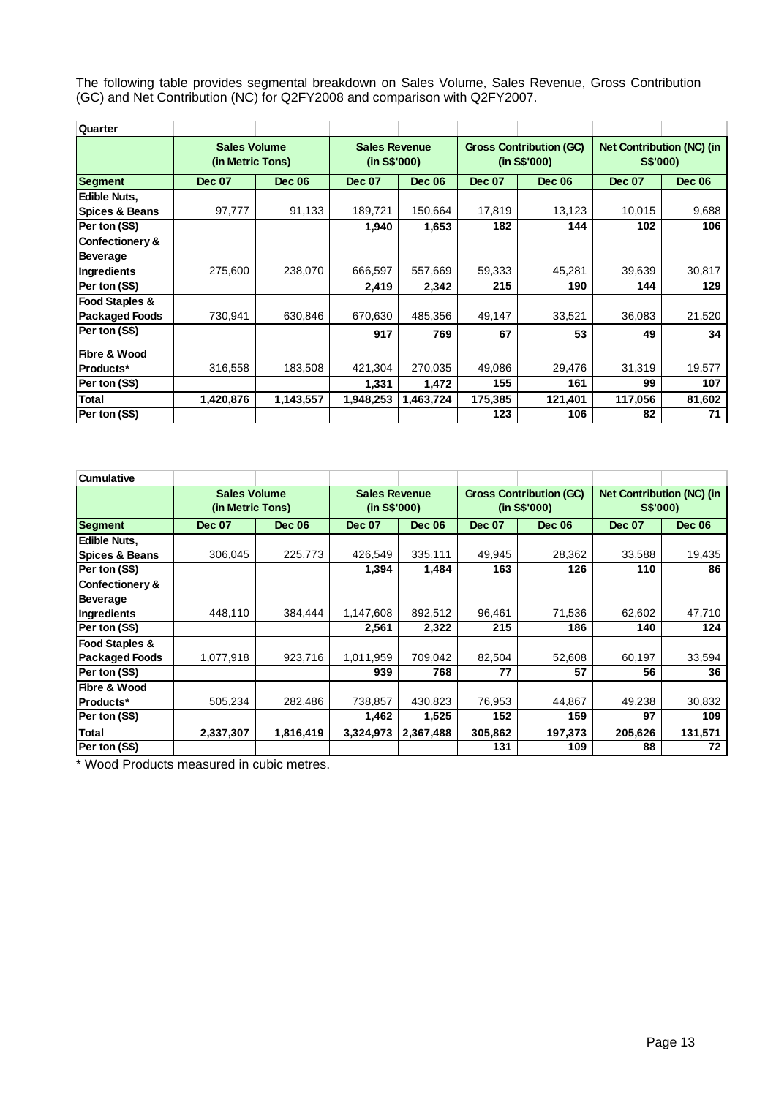The following table provides segmental breakdown on Sales Volume, Sales Revenue, Gross Contribution (GC) and Net Contribution (NC) for Q2FY2008 and comparison with Q2FY2007.

| Quarter                    |                                         |               |                                      |               |                                                |               |                                              |               |
|----------------------------|-----------------------------------------|---------------|--------------------------------------|---------------|------------------------------------------------|---------------|----------------------------------------------|---------------|
|                            | <b>Sales Volume</b><br>(in Metric Tons) |               | <b>Sales Revenue</b><br>(in S\$'000) |               | <b>Gross Contribution (GC)</b><br>(in S\$'000) |               | <b>Net Contribution (NC) (in</b><br>S\$'000) |               |
| <b>Segment</b>             | <b>Dec 07</b>                           | <b>Dec 06</b> | <b>Dec 07</b>                        | <b>Dec 06</b> | <b>Dec 07</b>                                  | <b>Dec 06</b> | <b>Dec 07</b>                                | <b>Dec 06</b> |
| Edible Nuts,               |                                         |               |                                      |               |                                                |               |                                              |               |
| <b>Spices &amp; Beans</b>  | 97,777                                  | 91,133        | 189,721                              | 150.664       | 17,819                                         | 13,123        | 10,015                                       | 9,688         |
| Per ton (S\$)              |                                         |               | 1,940                                | 1,653         | 182                                            | 144           | 102                                          | 106           |
| <b>Confectionery &amp;</b> |                                         |               |                                      |               |                                                |               |                                              |               |
| <b>Beverage</b>            |                                         |               |                                      |               |                                                |               |                                              |               |
| <b>Ingredients</b>         | 275,600                                 | 238,070       | 666,597                              | 557,669       | 59,333                                         | 45,281        | 39,639                                       | 30,817        |
| Per ton (S\$)              |                                         |               | 2,419                                | 2,342         | 215                                            | 190           | 144                                          | 129           |
| <b>Food Staples &amp;</b>  |                                         |               |                                      |               |                                                |               |                                              |               |
| <b>Packaged Foods</b>      | 730,941                                 | 630,846       | 670.630                              | 485.356       | 49,147                                         | 33,521        | 36,083                                       | 21,520        |
| Per ton (S\$)              |                                         |               | 917                                  | 769           | 67                                             | 53            | 49                                           | 34            |
| Fibre & Wood               |                                         |               |                                      |               |                                                |               |                                              |               |
| Products*                  | 316,558                                 | 183,508       | 421,304                              | 270,035       | 49,086                                         | 29,476        | 31,319                                       | 19,577        |
| Per ton (S\$)              |                                         |               | 1,331                                | 1,472         | 155                                            | 161           | 99                                           | 107           |
| <b>Total</b>               | 1,420,876                               | 1,143,557     | 1,948,253                            | 1,463,724     | 175,385                                        | 121,401       | 117,056                                      | 81,602        |
| Per ton (S\$)              |                                         |               |                                      |               | 123                                            | 106           | 82                                           | 71            |

| <b>Cumulative</b>         |                                         |               |                                      |               |                                                |               |                                              |               |
|---------------------------|-----------------------------------------|---------------|--------------------------------------|---------------|------------------------------------------------|---------------|----------------------------------------------|---------------|
|                           | <b>Sales Volume</b><br>(in Metric Tons) |               | <b>Sales Revenue</b><br>(in S\$'000) |               | <b>Gross Contribution (GC)</b><br>(in S\$'000) |               | <b>Net Contribution (NC) (in</b><br>S\$'000) |               |
| Segment                   | <b>Dec 07</b>                           | <b>Dec 06</b> | <b>Dec 07</b>                        | <b>Dec 06</b> | <b>Dec 07</b>                                  | <b>Dec 06</b> | <b>Dec 07</b>                                | <b>Dec 06</b> |
| Edible Nuts,              |                                         |               |                                      |               |                                                |               |                                              |               |
| <b>Spices &amp; Beans</b> | 306,045                                 | 225,773       | 426,549                              | 335,111       | 49,945                                         | 28,362        | 33,588                                       | 19,435        |
| Per ton (S\$)             |                                         |               | 1,394                                | 1,484         | 163                                            | 126           | 110                                          | 86            |
| Confectionery &           |                                         |               |                                      |               |                                                |               |                                              |               |
| <b>Beverage</b>           |                                         |               |                                      |               |                                                |               |                                              |               |
| <b>Ingredients</b>        | 448,110                                 | 384.444       | 1,147,608                            | 892,512       | 96,461                                         | 71,536        | 62,602                                       | 47,710        |
| Per ton (S\$)             |                                         |               | 2,561                                | 2,322         | 215                                            | 186           | 140                                          | 124           |
| Food Staples &            |                                         |               |                                      |               |                                                |               |                                              |               |
| <b>Packaged Foods</b>     | 1,077,918                               | 923,716       | 1,011,959                            | 709,042       | 82,504                                         | 52,608        | 60,197                                       | 33,594        |
| Per ton (S\$)             |                                         |               | 939                                  | 768           | 77                                             | 57            | 56                                           | 36            |
| Fibre & Wood              |                                         |               |                                      |               |                                                |               |                                              |               |
| Products*                 | 505,234                                 | 282,486       | 738,857                              | 430,823       | 76,953                                         | 44,867        | 49,238                                       | 30,832        |
| Per ton (S\$)             |                                         |               | 1,462                                | 1,525         | 152                                            | 159           | 97                                           | 109           |
| Total                     | 2,337,307                               | 1,816,419     | 3,324,973                            | 2,367,488     | 305,862                                        | 197,373       | 205,626                                      | 131,571       |
| Per ton (S\$)             |                                         |               |                                      |               | 131                                            | 109           | 88                                           | 72            |

\* Wood Products measured in cubic metres.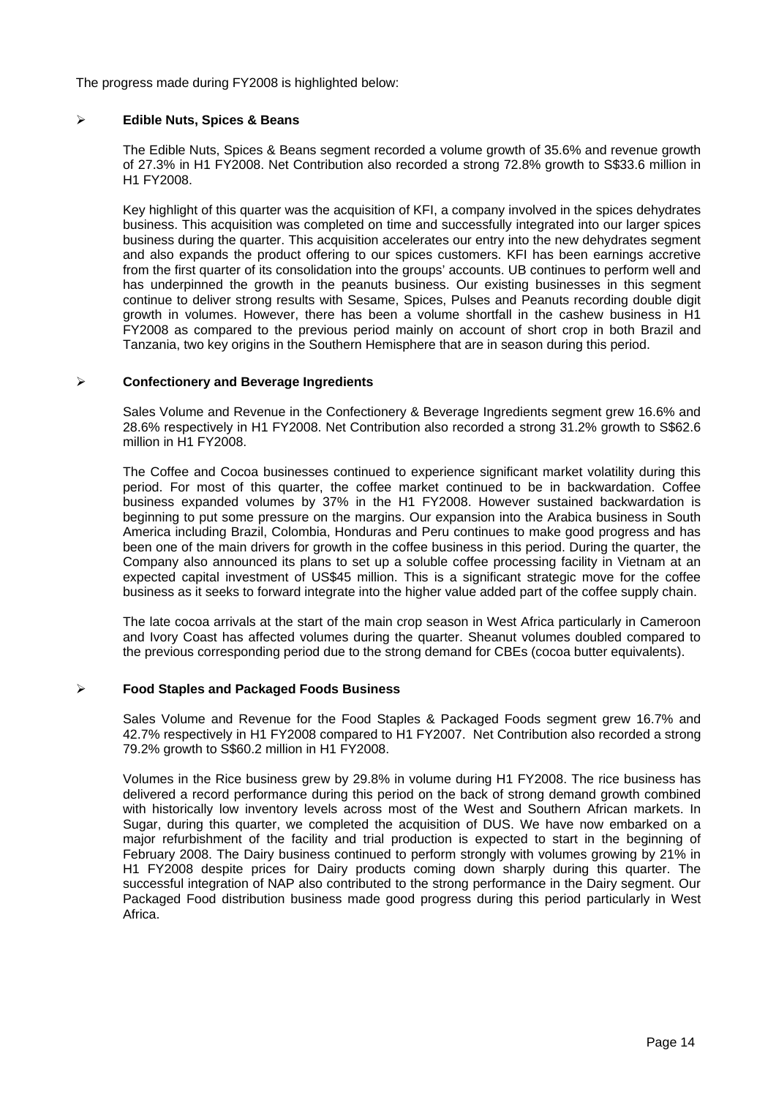The progress made during FY2008 is highlighted below:

### ¾ **Edible Nuts, Spices & Beans**

The Edible Nuts, Spices & Beans segment recorded a volume growth of 35.6% and revenue growth of 27.3% in H1 FY2008. Net Contribution also recorded a strong 72.8% growth to S\$33.6 million in H1 FY2008.

Key highlight of this quarter was the acquisition of KFI, a company involved in the spices dehydrates business. This acquisition was completed on time and successfully integrated into our larger spices business during the quarter. This acquisition accelerates our entry into the new dehydrates segment and also expands the product offering to our spices customers. KFI has been earnings accretive from the first quarter of its consolidation into the groups' accounts. UB continues to perform well and has underpinned the growth in the peanuts business. Our existing businesses in this segment continue to deliver strong results with Sesame, Spices, Pulses and Peanuts recording double digit growth in volumes. However, there has been a volume shortfall in the cashew business in H1 FY2008 as compared to the previous period mainly on account of short crop in both Brazil and Tanzania, two key origins in the Southern Hemisphere that are in season during this period.

### ¾ **Confectionery and Beverage Ingredients**

Sales Volume and Revenue in the Confectionery & Beverage Ingredients segment grew 16.6% and 28.6% respectively in H1 FY2008. Net Contribution also recorded a strong 31.2% growth to S\$62.6 million in H1 FY2008.

The Coffee and Cocoa businesses continued to experience significant market volatility during this period. For most of this quarter, the coffee market continued to be in backwardation. Coffee business expanded volumes by 37% in the H1 FY2008. However sustained backwardation is beginning to put some pressure on the margins. Our expansion into the Arabica business in South America including Brazil, Colombia, Honduras and Peru continues to make good progress and has been one of the main drivers for growth in the coffee business in this period. During the quarter, the Company also announced its plans to set up a soluble coffee processing facility in Vietnam at an expected capital investment of US\$45 million. This is a significant strategic move for the coffee business as it seeks to forward integrate into the higher value added part of the coffee supply chain.

The late cocoa arrivals at the start of the main crop season in West Africa particularly in Cameroon and Ivory Coast has affected volumes during the quarter. Sheanut volumes doubled compared to the previous corresponding period due to the strong demand for CBEs (cocoa butter equivalents).

## ¾ **Food Staples and Packaged Foods Business**

Sales Volume and Revenue for the Food Staples & Packaged Foods segment grew 16.7% and 42.7% respectively in H1 FY2008 compared to H1 FY2007. Net Contribution also recorded a strong 79.2% growth to S\$60.2 million in H1 FY2008.

Volumes in the Rice business grew by 29.8% in volume during H1 FY2008. The rice business has delivered a record performance during this period on the back of strong demand growth combined with historically low inventory levels across most of the West and Southern African markets. In Sugar, during this quarter, we completed the acquisition of DUS. We have now embarked on a major refurbishment of the facility and trial production is expected to start in the beginning of February 2008. The Dairy business continued to perform strongly with volumes growing by 21% in H1 FY2008 despite prices for Dairy products coming down sharply during this quarter. The successful integration of NAP also contributed to the strong performance in the Dairy segment. Our Packaged Food distribution business made good progress during this period particularly in West Africa.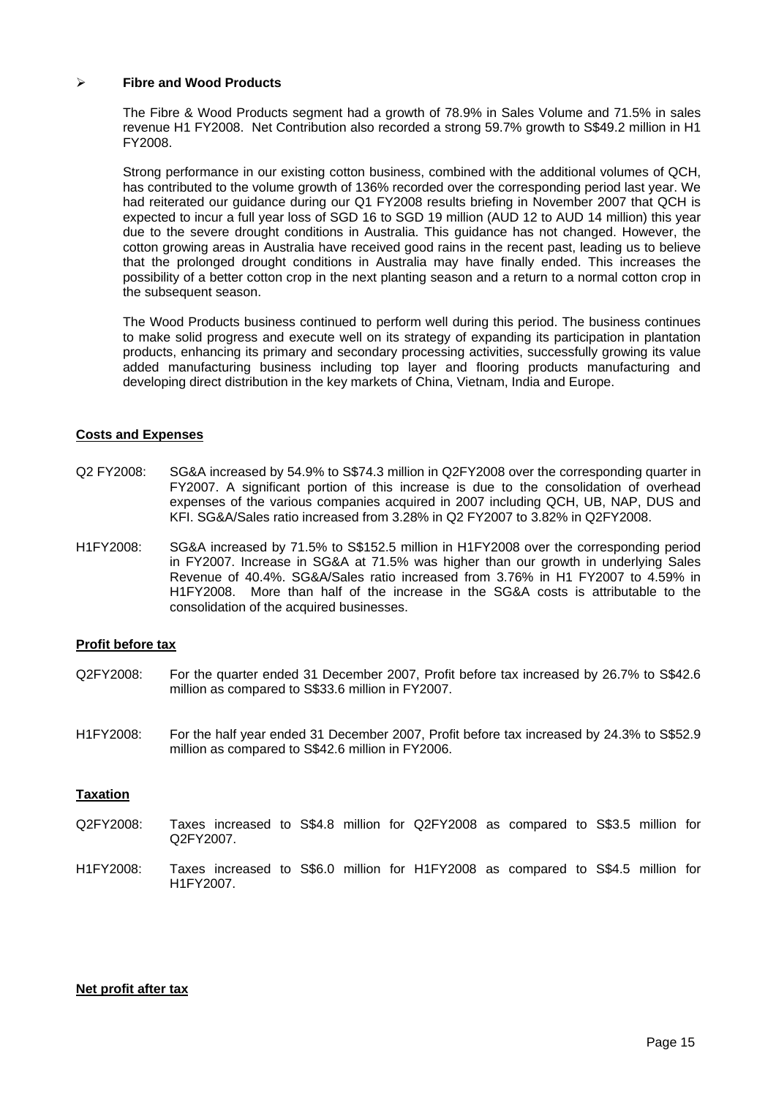### ¾ **Fibre and Wood Products**

The Fibre & Wood Products segment had a growth of 78.9% in Sales Volume and 71.5% in sales revenue H1 FY2008. Net Contribution also recorded a strong 59.7% growth to S\$49.2 million in H1 FY2008.

Strong performance in our existing cotton business, combined with the additional volumes of QCH, has contributed to the volume growth of 136% recorded over the corresponding period last year. We had reiterated our guidance during our Q1 FY2008 results briefing in November 2007 that QCH is expected to incur a full year loss of SGD 16 to SGD 19 million (AUD 12 to AUD 14 million) this year due to the severe drought conditions in Australia. This guidance has not changed. However, the cotton growing areas in Australia have received good rains in the recent past, leading us to believe that the prolonged drought conditions in Australia may have finally ended. This increases the possibility of a better cotton crop in the next planting season and a return to a normal cotton crop in the subsequent season.

The Wood Products business continued to perform well during this period. The business continues to make solid progress and execute well on its strategy of expanding its participation in plantation products, enhancing its primary and secondary processing activities, successfully growing its value added manufacturing business including top layer and flooring products manufacturing and developing direct distribution in the key markets of China, Vietnam, India and Europe.

### **Costs and Expenses**

- Q2 FY2008: SG&A increased by 54.9% to S\$74.3 million in Q2FY2008 over the corresponding quarter in FY2007. A significant portion of this increase is due to the consolidation of overhead expenses of the various companies acquired in 2007 including QCH, UB, NAP, DUS and KFI. SG&A/Sales ratio increased from 3.28% in Q2 FY2007 to 3.82% in Q2FY2008.
- H1FY2008: SG&A increased by 71.5% to S\$152.5 million in H1FY2008 over the corresponding period in FY2007. Increase in SG&A at 71.5% was higher than our growth in underlying Sales Revenue of 40.4%. SG&A/Sales ratio increased from 3.76% in H1 FY2007 to 4.59% in H1FY2008. More than half of the increase in the SG&A costs is attributable to the consolidation of the acquired businesses.

### **Profit before tax**

- Q2FY2008: For the quarter ended 31 December 2007, Profit before tax increased by 26.7% to S\$42.6 million as compared to S\$33.6 million in FY2007.
- H1FY2008: For the half year ended 31 December 2007, Profit before tax increased by 24.3% to S\$52.9 million as compared to S\$42.6 million in FY2006.

### **Taxation**

- Q2FY2008: Taxes increased to S\$4.8 million for Q2FY2008 as compared to S\$3.5 million for Q2FY2007.
- H1FY2008: Taxes increased to S\$6.0 million for H1FY2008 as compared to S\$4.5 million for H1FY2007.

### **Net profit after tax**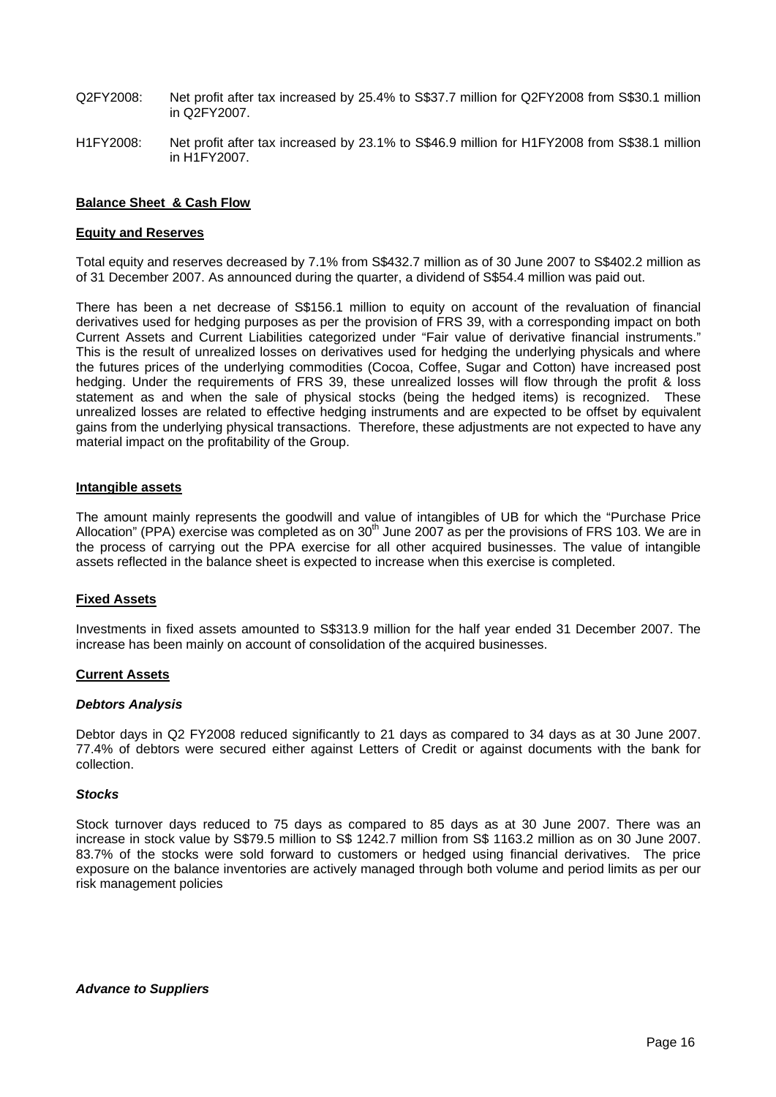- Q2FY2008: Net profit after tax increased by 25.4% to S\$37.7 million for Q2FY2008 from S\$30.1 million in Q2FY2007.
- H1FY2008: Net profit after tax increased by 23.1% to S\$46.9 million for H1FY2008 from S\$38.1 million in H1FY2007.

### **Balance Sheet & Cash Flow**

### **Equity and Reserves**

Total equity and reserves decreased by 7.1% from S\$432.7 million as of 30 June 2007 to S\$402.2 million as of 31 December 2007. As announced during the quarter, a dividend of S\$54.4 million was paid out.

There has been a net decrease of S\$156.1 million to equity on account of the revaluation of financial derivatives used for hedging purposes as per the provision of FRS 39, with a corresponding impact on both Current Assets and Current Liabilities categorized under "Fair value of derivative financial instruments." This is the result of unrealized losses on derivatives used for hedging the underlying physicals and where the futures prices of the underlying commodities (Cocoa, Coffee, Sugar and Cotton) have increased post hedging. Under the requirements of FRS 39, these unrealized losses will flow through the profit & loss statement as and when the sale of physical stocks (being the hedged items) is recognized. These unrealized losses are related to effective hedging instruments and are expected to be offset by equivalent gains from the underlying physical transactions. Therefore, these adjustments are not expected to have any material impact on the profitability of the Group.

### **Intangible assets**

The amount mainly represents the goodwill and value of intangibles of UB for which the "Purchase Price Allocation" (PPA) exercise was completed as on  $30<sup>th</sup>$  June 2007 as per the provisions of FRS 103. We are in the process of carrying out the PPA exercise for all other acquired businesses. The value of intangible assets reflected in the balance sheet is expected to increase when this exercise is completed.

### **Fixed Assets**

Investments in fixed assets amounted to S\$313.9 million for the half year ended 31 December 2007. The increase has been mainly on account of consolidation of the acquired businesses.

### **Current Assets**

### *Debtors Analysis*

Debtor days in Q2 FY2008 reduced significantly to 21 days as compared to 34 days as at 30 June 2007. 77.4% of debtors were secured either against Letters of Credit or against documents with the bank for collection.

### *Stocks*

Stock turnover days reduced to 75 days as compared to 85 days as at 30 June 2007. There was an increase in stock value by S\$79.5 million to S\$ 1242.7 million from S\$ 1163.2 million as on 30 June 2007. 83.7% of the stocks were sold forward to customers or hedged using financial derivatives. The price exposure on the balance inventories are actively managed through both volume and period limits as per our risk management policies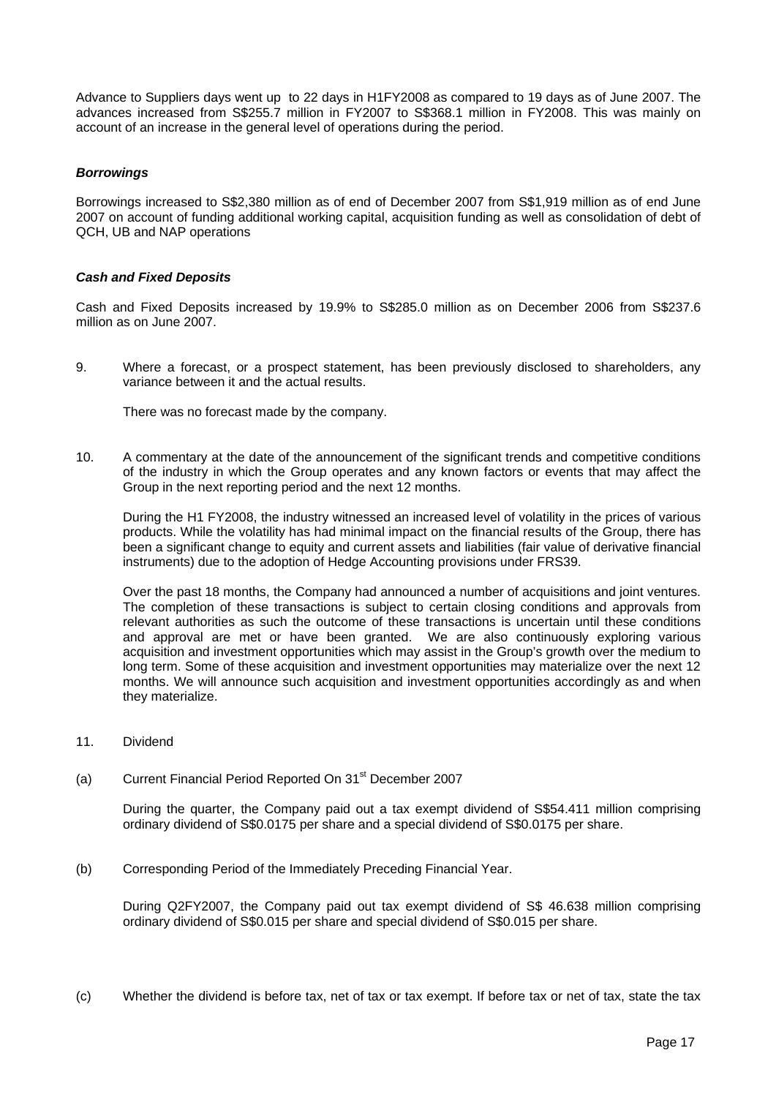Advance to Suppliers days went up to 22 days in H1FY2008 as compared to 19 days as of June 2007. The advances increased from S\$255.7 million in FY2007 to S\$368.1 million in FY2008. This was mainly on account of an increase in the general level of operations during the period.

### *Borrowings*

Borrowings increased to S\$2,380 million as of end of December 2007 from S\$1,919 million as of end June 2007 on account of funding additional working capital, acquisition funding as well as consolidation of debt of QCH, UB and NAP operations

### *Cash and Fixed Deposits*

Cash and Fixed Deposits increased by 19.9% to S\$285.0 million as on December 2006 from S\$237.6 million as on June 2007.

9. Where a forecast, or a prospect statement, has been previously disclosed to shareholders, any variance between it and the actual results.

There was no forecast made by the company.

10. A commentary at the date of the announcement of the significant trends and competitive conditions of the industry in which the Group operates and any known factors or events that may affect the Group in the next reporting period and the next 12 months.

During the H1 FY2008, the industry witnessed an increased level of volatility in the prices of various products. While the volatility has had minimal impact on the financial results of the Group, there has been a significant change to equity and current assets and liabilities (fair value of derivative financial instruments) due to the adoption of Hedge Accounting provisions under FRS39.

Over the past 18 months, the Company had announced a number of acquisitions and joint ventures. The completion of these transactions is subject to certain closing conditions and approvals from relevant authorities as such the outcome of these transactions is uncertain until these conditions and approval are met or have been granted. We are also continuously exploring various acquisition and investment opportunities which may assist in the Group's growth over the medium to long term. Some of these acquisition and investment opportunities may materialize over the next 12 months. We will announce such acquisition and investment opportunities accordingly as and when they materialize.

- 11. Dividend
- (a) Current Financial Period Reported On 31<sup>st</sup> December 2007

 During the quarter, the Company paid out a tax exempt dividend of S\$54.411 million comprising ordinary dividend of S\$0.0175 per share and a special dividend of S\$0.0175 per share.

(b) Corresponding Period of the Immediately Preceding Financial Year.

 During Q2FY2007, the Company paid out tax exempt dividend of S\$ 46.638 million comprising ordinary dividend of S\$0.015 per share and special dividend of S\$0.015 per share.

(c) Whether the dividend is before tax, net of tax or tax exempt. If before tax or net of tax, state the tax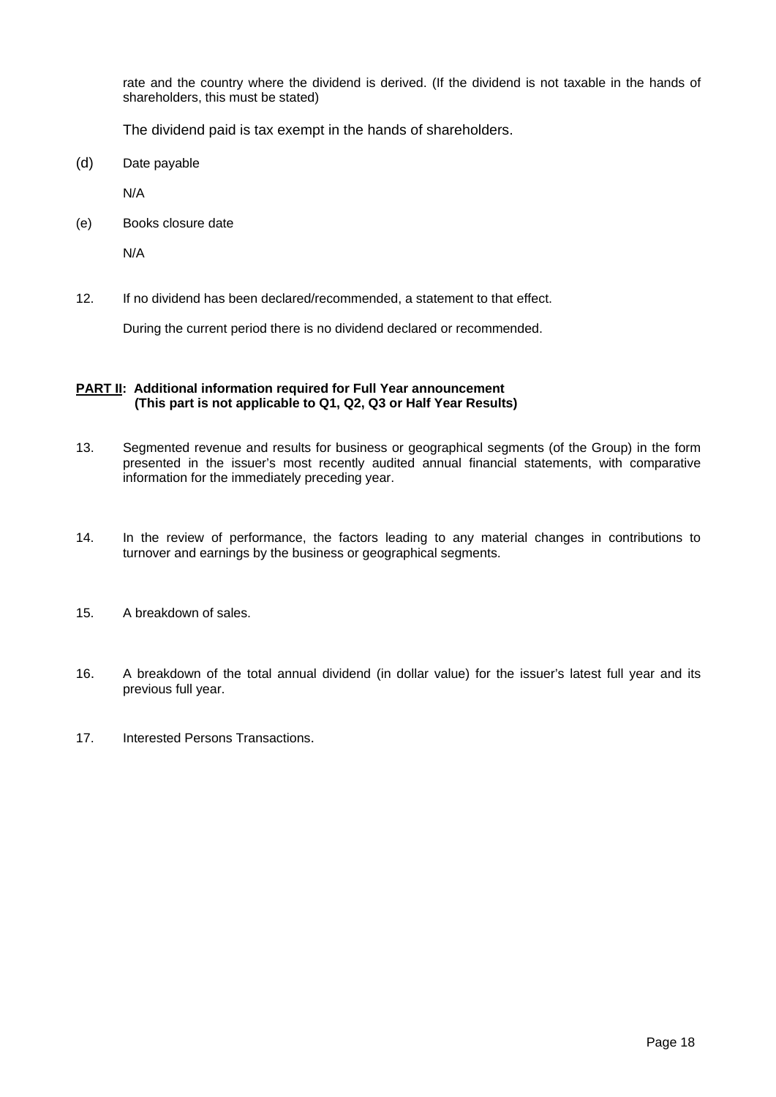rate and the country where the dividend is derived. (If the dividend is not taxable in the hands of shareholders, this must be stated)

The dividend paid is tax exempt in the hands of shareholders.

(d) Date payable

N/A

(e) Books closure date

N/A

12. If no dividend has been declared/recommended, a statement to that effect.

During the current period there is no dividend declared or recommended.

### **PART II: Additional information required for Full Year announcement (This part is not applicable to Q1, Q2, Q3 or Half Year Results)**

- 13. Segmented revenue and results for business or geographical segments (of the Group) in the form presented in the issuer's most recently audited annual financial statements, with comparative information for the immediately preceding year.
- 14. In the review of performance, the factors leading to any material changes in contributions to turnover and earnings by the business or geographical segments.
- 15. A breakdown of sales.
- 16. A breakdown of the total annual dividend (in dollar value) for the issuer's latest full year and its previous full year.
- 17. Interested Persons Transactions.